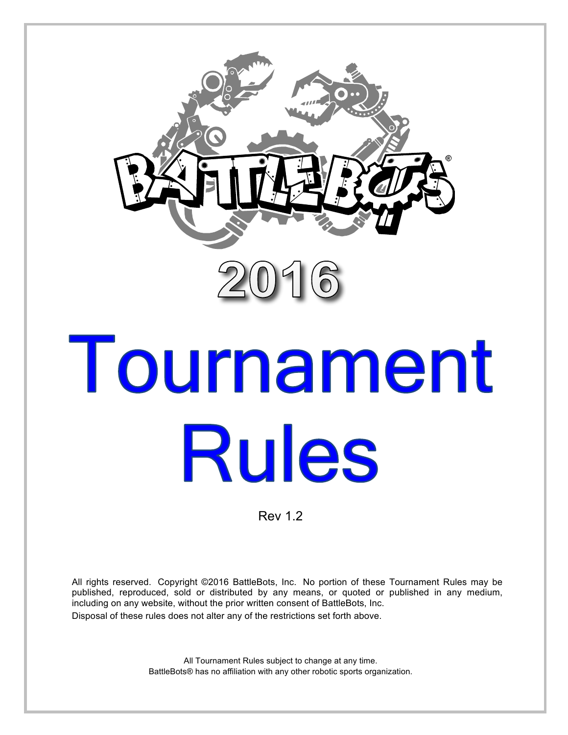

# Tournament **Rules**

Rev 1.2

All rights reserved. Copyright ©2016 BattleBots, Inc. No portion of these Tournament Rules may be published, reproduced, sold or distributed by any means, or quoted or published in any medium, including on any website, without the prior written consent of BattleBots, Inc. Disposal of these rules does not alter any of the restrictions set forth above.

> All Tournament Rules subject to change at any time. BattleBots® has no affiliation with any other robotic sports organization.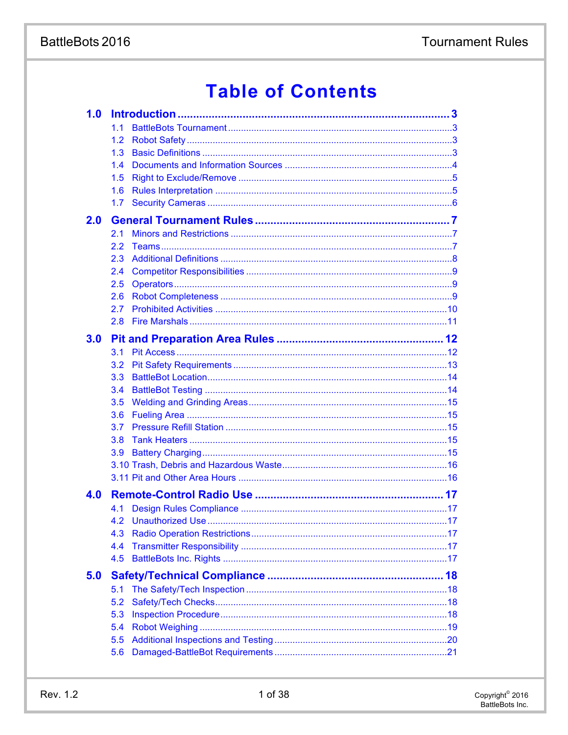# **Table of Contents**

| 1.1           |                  |
|---------------|------------------|
| $1.2^{\circ}$ |                  |
| 1.3           |                  |
| 1.4           |                  |
| 1.5           |                  |
| 1.6           |                  |
|               |                  |
|               |                  |
| 2.1           |                  |
| $2.2^{\circ}$ |                  |
| 2.3           |                  |
| 2.4           |                  |
| 2.5           |                  |
| 2.6           |                  |
| 2.7           |                  |
| 2.8           |                  |
|               |                  |
| 3.1           |                  |
| 3.2           |                  |
| 3.3           |                  |
| 3.4           |                  |
| 3.5           |                  |
| 3.6           |                  |
| 3.7           |                  |
| 3.8           |                  |
| 3.9           |                  |
|               |                  |
|               |                  |
|               |                  |
| 4.1           |                  |
|               |                  |
| 4.3           |                  |
| 4.4           |                  |
| 4.5           |                  |
|               |                  |
| 5.1           |                  |
| 5.2           |                  |
| 5.3           |                  |
| 5.4           |                  |
| 5.5           |                  |
| 5.6           |                  |
|               | 1.7 <sub>z</sub> |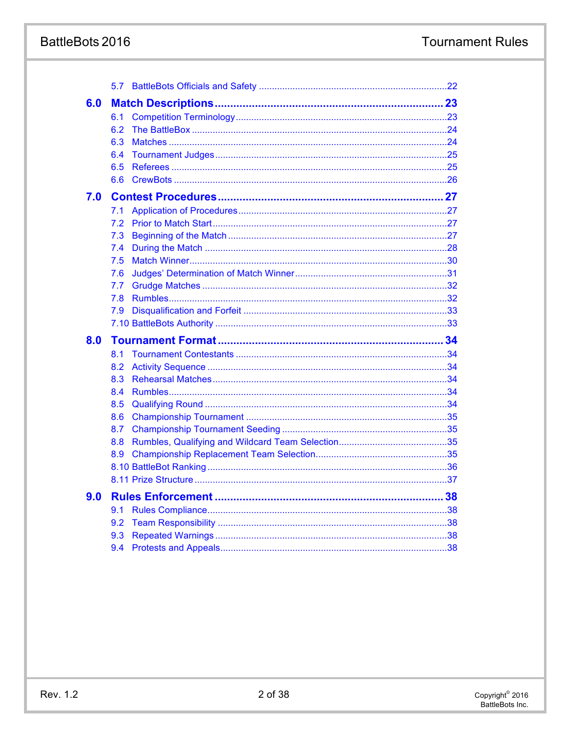# BattleBots 2016

|     | 5.7        |  |
|-----|------------|--|
| 6.0 |            |  |
|     | 6.1        |  |
|     | 6.2        |  |
|     | 6.3        |  |
|     | 6.4        |  |
|     | 6.5        |  |
|     | 6.6        |  |
| 7.0 |            |  |
|     | 7.1        |  |
|     | 7.2        |  |
|     | 7.3        |  |
|     | 7.4        |  |
|     | 7.5        |  |
|     | 7.6        |  |
|     | 7.7        |  |
|     | 7.8        |  |
|     | 7.9        |  |
|     |            |  |
|     |            |  |
| 8.0 |            |  |
|     | 8.1        |  |
|     | 8.2        |  |
|     | 8.3        |  |
|     | 8.4        |  |
|     | 8.5        |  |
|     | 8.6        |  |
|     | 8.7        |  |
|     | 8.8        |  |
|     | 8.9        |  |
|     |            |  |
|     |            |  |
| 9.0 |            |  |
|     | 9.1        |  |
|     | 9.2        |  |
|     | 9.3<br>9.4 |  |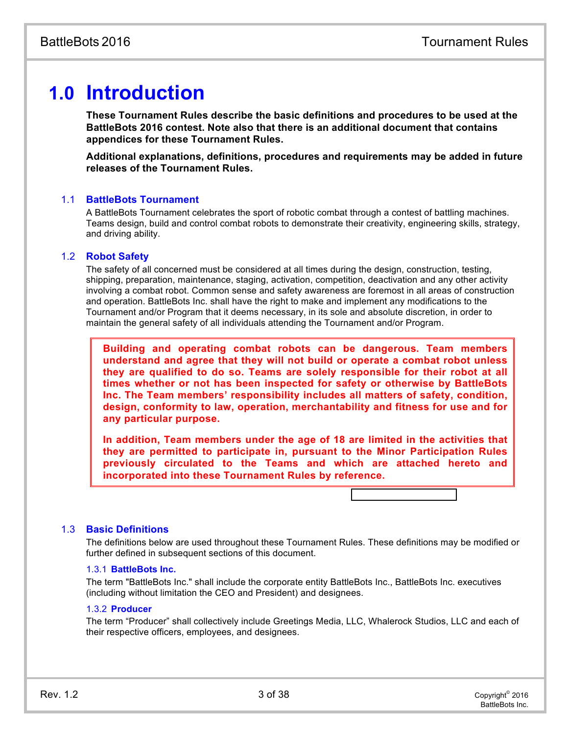# **1.0 Introduction**

**These Tournament Rules describe the basic definition[s and procedures to be](#page-24-0) used at the BattleBots 2016 contest. Note also that there is an addi[tional document that c](#page-25-0)ontains appendices for these Tournament Rules.**

**Additional explanations, definitions, procedures and re[quirements may](#page-26-0) be added in future releases of the Tournament Rules.**

# 1.1 **BattleBots Tournament**

A BattleBots Tournament celebrates the sport of robotic combat t[hrough a contest of battlin](#page-28-0)g machines. Teams design, build and control combat robots to demonstrate t[heir creativity, engineering](#page-28-1) skills, strategy, and driving ability.

# 1.2 **Robot Safety**

The safety of all concerned must be considered at all times durin[g the design, construction](#page-32-0), testing, shipping, preparation, maintenance, staging, activation, competiti[on, deactivation and any o](#page-33-0)ther activity involving a combat robot. Common sense and safety awareness are foremost in all areas of construction and operation. BattleBots Inc. shall have the right to make and i[mplement any modification](#page-33-1)s to the Tournament and/or Program that it deems necessary, in its sole [and absolute discretion, in](#page-34-0) order to maintain the general safety of all individuals attending the Tourn[ament and/or Program.](#page-34-1)

**Building and operating combat robots can b[e dangerous. Team](#page-35-0) members understand and agree that they will not build or [operate a combat rob](#page-35-1)ot unless they are qualified to do so. Teams are solely re[sponsible for their ro](#page-35-2)bot at all times whether or not has been inspected for safety or otherwise by BattleBots Inc. The Team members' responsibility includes [all matters of safety,](#page-35-3) condition, design, conformity to law, operation, merchantab[ility and fitness for u](#page-35-4)se and for any particular purpose.**

**In addition, Team members under the age of 18 [are limited in the acti](#page-36-1)vities that they are permitted to participate in, pursuant to [the Minor Participat](#page-36-2)ion Rules previously circulated to the Teams and whi[ch are attached he](#page-37-0)reto and incorporated into these Tournament Rules by ref[erence.](#page-38-0)**

# 1.3 **Basic Definitions**

The definitions below are used throughout these Tournament Rules. These definitions may be modified or further defined in subsequent sections of this document.

# 1.3.1 **BattleBots Inc.**

The term "BattleBots Inc." shall include the corporate entity BattleBots Inc., BattleBots Inc. executives (including without limitation the CEO and President) and designees.

# 1.3.2 **Producer**

The term "Producer" shall collectively include Greetings Media, LLC, Whalerock Studios, LLC and each of their respective officers, employees, and designees.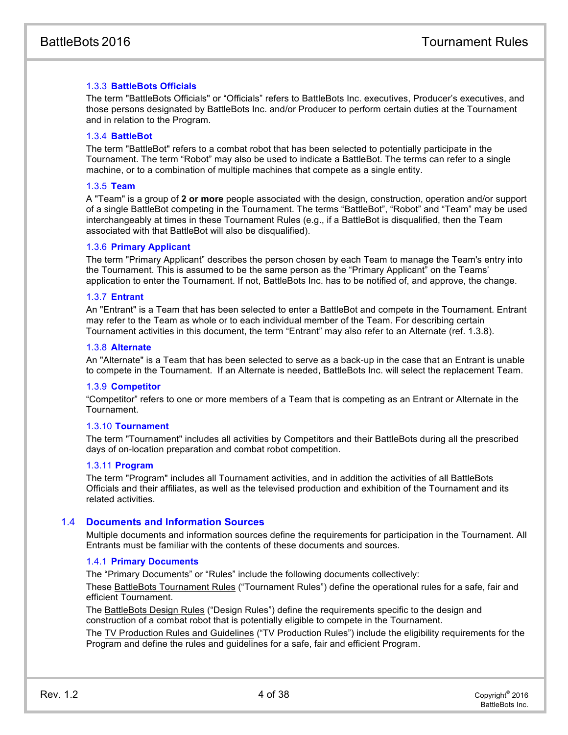# <span id="page-4-0"></span>1.3.3 **BattleBots Officials**

The term "BattleBots Officials" or "Officials" refers to BattleBots Inc. executives, Producer's executives, and those persons designated by BattleBots Inc. and/or Producer to perform certain duties at the Tournament and in relation to the Program.

# 1.3.4 **BattleBot**

The term "BattleBot" refers to a combat robot that has been selected to potentially participate in the Tournament. The term "Robot" may also be used to indicate a BattleBot. The terms can refer to a single machine, or to a combination of multiple machines that compete as a single entity.

#### 1.3.5 **Team**

<span id="page-4-1"></span>A "Team" is a group of **2 or more** people associated with the design, construction, operation and/or support of a single BattleBot competing in the Tournament. The terms "BattleBot", "Robot" and "Team" may be used interchangeably at times in these Tournament Rules (e.g., if a BattleBot is disqualified, then the Team associated with that BattleBot will also be disqualified).

#### 1.3.6 **Primary Applicant**

<span id="page-4-2"></span>The term "Primary Applicant" describes the person chosen by each Team to manage the Team's entry into the Tournament. This is assumed to be the same person as the "Primary Applicant" on the Teams' application to enter the Tournament. If not, BattleBots Inc. has to be notified of, and approve, the change.

#### 1.3.7 **Entrant**

An "Entrant" is a Team that has been selected to enter a BattleBot and compete in the Tournament. Entrant may refer to the Team as whole or to each individual member of the Team. For describing certain Tournament activities in this document, the term "Entrant" may also refer to an Alternate (ref. 1.3.8).

#### 1.3.8 **Alternate**

An "Alternate" is a Team that has been selected to serve as a back-up in the case that an Entrant is unable to compete in the Tournament. If an Alternate is needed, BattleBots Inc. will select the replacement Team.

#### 1.3.9 **Competitor**

"Competitor" refers to one or more members of a Team that is competing as an Entrant or Alternate in the Tournament.

#### 1.3.10 **Tournament**

The term "Tournament" includes all activities by Competitors and their BattleBots during all the prescribed days of on-location preparation and combat robot competition.

#### 1.3.11 **Program**

The term "Program" includes all Tournament activities, and in addition the activities of all BattleBots Officials and their affiliates, as well as the televised production and exhibition of the Tournament and its related activities.

#### 1.4 **Documents and Information Sources**

<span id="page-4-3"></span>Multiple documents and information sources define the requirements for participation in the Tournament. All Entrants must be familiar with the contents of these documents and sources.

#### 1.4.1 **Primary Documents**

The "Primary Documents" or "Rules" include the following documents collectively:

These **BattleBots Tournament Rules** ("Tournament Rules") define the operational rules for a safe, fair and efficient Tournament.

The BattleBots Design Rules ("Design Rules") define the requirements specific to the design and construction of a combat robot that is potentially eligible to compete in the Tournament.

The TV Production Rules and Guidelines ("TV Production Rules") include the eligibility requirements for the Program and define the rules and guidelines for a safe, fair and efficient Program.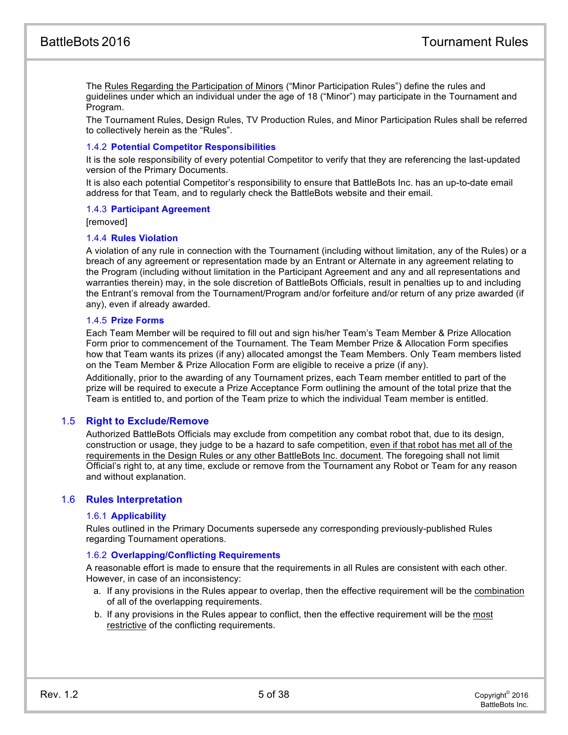The Rules Regarding the Participation of Minors ("Minor Participation Rules") define the rules and guidelines under which an individual under the age of 18 ("Minor") may participate in the Tournament and Program.

The Tournament Rules, Design Rules, TV Production Rules, and Minor Participation Rules shall be referred to collectively herein as the "Rules".

#### 1.4.2 **Potential Competitor Responsibilities**

It is the sole responsibility of every potential Competitor to verify that they are referencing the last-updated version of the Primary Documents.

It is also each potential Competitor's responsibility to ensure that BattleBots Inc. has an up-to-date email address for that Team, and to regularly check the BattleBots website and their email.

#### 1.4.3 **Participant Agreement**

[removed]

#### 1.4.4 **Rules Violation**

A violation of any rule in connection with the Tournament (including without limitation, any of the Rules) or a breach of any agreement or representation made by an Entrant or Alternate in any agreement relating to the Program (including without limitation in the Participant Agreement and any and all representations and warranties therein) may, in the sole discretion of BattleBots Officials, result in penalties up to and including the Entrant's removal from the Tournament/Program and/or forfeiture and/or return of any prize awarded (if any), even if already awarded.

#### 1.4.5 **Prize Forms**

Each Team Member will be required to fill out and sign his/her Team's Team Member & Prize Allocation Form prior to commencement of the Tournament. The Team Member Prize & Allocation Form specifies how that Team wants its prizes (if any) allocated amongst the Team Members. Only Team members listed on the Team Member & Prize Allocation Form are eligible to receive a prize (if any).

Additionally, prior to the awarding of any Tournament prizes, each Team member entitled to part of the prize will be required to execute a Prize Acceptance Form outlining the amount of the total prize that the Team is entitled to, and portion of the Team prize to which the individual Team member is entitled.

# 1.5 **Right to Exclude/Remove**

Authorized BattleBots Officials may exclude from competition any combat robot that, due to its design, construction or usage, they judge to be a hazard to safe competition, even if that robot has met all of the requirements in the Design Rules or any other BattleBots Inc. document. The foregoing shall not limit Official's right to, at any time, exclude or remove from the Tournament any Robot or Team for any reason and without explanation.

#### 1.6 **Rules Interpretation**

#### <span id="page-5-0"></span>1.6.1 **Applicability**

Rules outlined in the Primary Documents supersede any corresponding previously-published Rules regarding Tournament operations.

#### 1.6.2 **Overlapping/Conflicting Requirements**

A reasonable effort is made to ensure that the requirements in all Rules are consistent with each other. However, in case of an inconsistency:

- a. If any provisions in the Rules appear to overlap, then the effective requirement will be the combination of all of the overlapping requirements.
- b. If any provisions in the Rules appear to conflict, then the effective requirement will be the most restrictive of the conflicting requirements.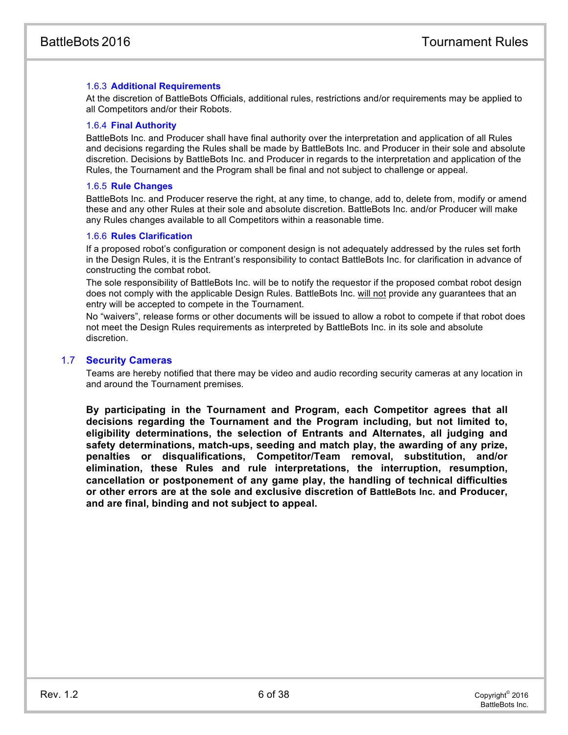# 1.6.3 **Additional Requirements**

At the discretion of BattleBots Officials, additional rules, restrictions and/or requirements may be applied to all Competitors and/or their Robots.

#### 1.6.4 **Final Authority**

BattleBots Inc. and Producer shall have final authority over the interpretation and application of all Rules and decisions regarding the Rules shall be made by BattleBots Inc. and Producer in their sole and absolute discretion. Decisions by BattleBots Inc. and Producer in regards to the interpretation and application of the Rules, the Tournament and the Program shall be final and not subject to challenge or appeal.

#### 1.6.5 **Rule Changes**

BattleBots Inc. and Producer reserve the right, at any time, to change, add to, delete from, modify or amend these and any other Rules at their sole and absolute discretion. BattleBots Inc. and/or Producer will make any Rules changes available to all Competitors within a reasonable time.

#### 1.6.6 **Rules Clarification**

If a proposed robot's configuration or component design is not adequately addressed by the rules set forth in the Design Rules, it is the Entrant's responsibility to contact BattleBots Inc. for clarification in advance of constructing the combat robot.

The sole responsibility of BattleBots Inc. will be to notify the requestor if the proposed combat robot design does not comply with the applicable Design Rules. BattleBots Inc. will not provide any guarantees that an entry will be accepted to compete in the Tournament.

No "waivers", release forms or other documents will be issued to allow a robot to compete if that robot does not meet the Design Rules requirements as interpreted by BattleBots Inc. in its sole and absolute discretion.

# 1.7 **Security Cameras**

Teams are hereby notified that there may be video and audio recording security cameras at any location in and around the Tournament premises.

<span id="page-6-1"></span><span id="page-6-0"></span>**By participating in the Tournament and Program, each Competitor agrees that all decisions regarding the Tournament and the Program including, but not limited to, eligibility determinations, the selection of Entrants and Alternates, all judging and safety determinations, match-ups, seeding and match play, the awarding of any prize, penalties or disqualifications, Competitor/Team removal, substitution, and/or elimination, these Rules and rule interpretations, the interruption, resumption, cancellation or postponement of any game play, the handling of technical difficulties or other errors are at the sole and exclusive discretion of BattleBots Inc. and Producer, and are final, binding and not subject to appeal.**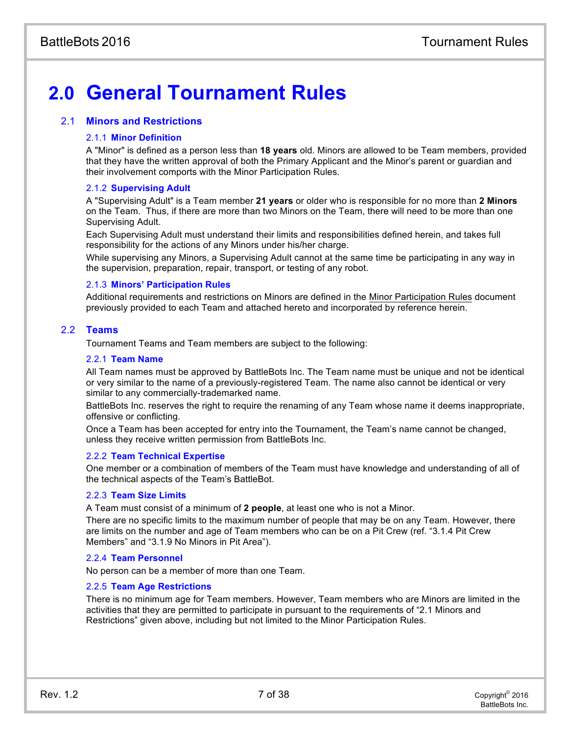# **2.0 General Tournament Rules**

# 2.1 **Minors and Restrictions**

# 2.1.1 **Minor Definition**

A "Minor" is defined as a person less than **18 years** old. Minors are allowed to be Team members, provided that they have the written approval of both the Primary Applicant and the Minor's parent or guardian and their involvement comports with the Minor Participation Rules.

# 2.1.2 **Supervising Adult**

A "Supervising Adult" is a Team member **21 years** or older who is responsible for no more than **2 Minors** on the Team. Thus, if there are more than two Minors on the Team, there will need to be more than one Supervising Adult.

Each Supervising Adult must understand their limits and responsibilities defined herein, and takes full responsibility for the actions of any Minors under his/her charge.

While supervising any Minors, a Supervising Adult cannot at the same time be participating in any way in the supervision, preparation, repair, transport, or testing of any robot.

# 2.1.3 **Minors' Participation Rules**

Additional requirements and restrictions on Minors are defined in the Minor Participation Rules document previously provided to each Team and attached hereto and incorporated by reference herein.

# 2.2 **Teams**

Tournament Teams and Team members are subject to the following:

## <span id="page-7-0"></span>2.2.1 **Team Name**

All Team names must be approved by BattleBots Inc. The Team name must be unique and not be identical or very similar to the name of a previously-registered Team. The name also cannot be identical or very similar to any commercially-trademarked name.

BattleBots Inc. reserves the right to require the renaming of any Team whose name it deems inappropriate, offensive or conflicting.

Once a Team has been accepted for entry into the Tournament, the Team's name cannot be changed, unless they receive written permission from BattleBots Inc.

#### 2.2.2 **Team Technical Expertise**

One member or a combination of members of the Team must have knowledge and understanding of all of the technical aspects of the Team's BattleBot.

#### 2.2.3 **Team Size Limits**

A Team must consist of a minimum of **2 people**, at least one who is not a Minor.

There are no specific limits to the maximum number of people that may be on any Team. However, there are limits on the number and age of Team members who can be on a Pit Crew (ref. "3.1.4 Pit Crew Members" and "3.1.9 No Minors in Pit Area").

#### 2.2.4 **Team Personnel**

No person can be a member of more than one Team.

#### 2.2.5 **Team Age Restrictions**

There is no minimum age for Team members. However, Team members who are Minors are limited in the activities that they are permitted to participate in pursuant to the requirements of "2.1 Minors and Restrictions" given above, including but not limited to the Minor Participation Rules.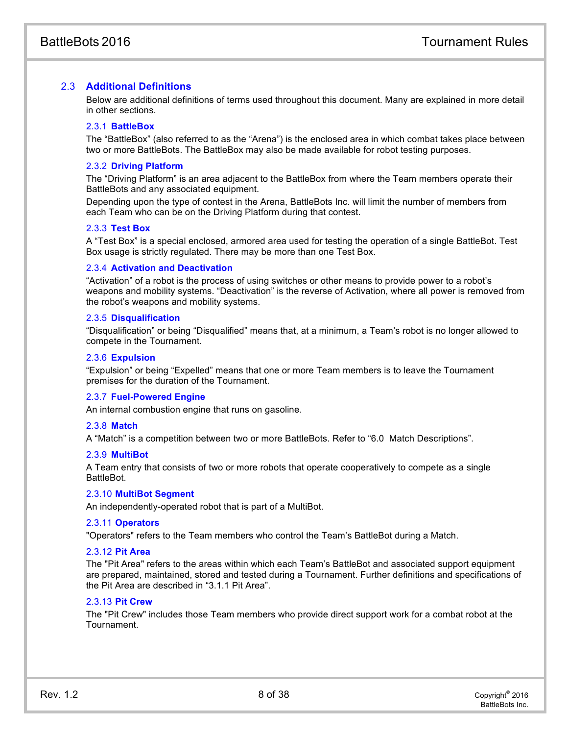# 2.3 **Additional Definitions**

<span id="page-8-0"></span>Below are additional definitions of terms used throughout this document. Many are explained in more detail in other sections.

#### <span id="page-8-1"></span>2.3.1 **BattleBox**

The "BattleBox" (also referred to as the "Arena") is the enclosed area in which combat takes place between two or more BattleBots. The BattleBox may also be made available for robot testing purposes.

#### 2.3.2 **Driving Platform**

The "Driving Platform" is an area adjacent to the BattleBox from where the Team members operate their BattleBots and any associated equipment.

Depending upon the type of contest in the Arena, BattleBots Inc. will limit the number of members from each Team who can be on the Driving Platform during that contest.

#### 2.3.3 **Test Box**

A "Test Box" is a special enclosed, armored area used for testing the operation of a single BattleBot. Test Box usage is strictly regulated. There may be more than one Test Box.

#### 2.3.4 **Activation and Deactivation**

"Activation" of a robot is the process of using switches or other means to provide power to a robot's weapons and mobility systems. "Deactivation" is the reverse of Activation, where all power is removed from the robot's weapons and mobility systems.

#### 2.3.5 **Disqualification**

<span id="page-8-2"></span>"Disqualification" or being "Disqualified" means that, at a minimum, a Team's robot is no longer allowed to compete in the Tournament.

#### 2.3.6 **Expulsion**

"Expulsion" or being "Expelled" means that one or more Team members is to leave the Tournament premises for the duration of the Tournament.

#### 2.3.7 **Fuel-Powered Engine**

An internal combustion engine that runs on gasoline.

#### 2.3.8 **Match**

A "Match" is a competition between two or more BattleBots. Refer to "6.0 Match Descriptions".

#### 2.3.9 **MultiBot**

A Team entry that consists of two or more robots that operate cooperatively to compete as a single BattleBot.

#### 2.3.10 **MultiBot Segment**

An independently-operated robot that is part of a MultiBot.

#### 2.3.11 **Operators**

"Operators" refers to the Team members who control the Team's BattleBot during a Match.

#### 2.3.12 **Pit Area**

The "Pit Area" refers to the areas within which each Team's BattleBot and associated support equipment are prepared, maintained, stored and tested during a Tournament. Further definitions and specifications of the Pit Area are described in "3.1.1 Pit Area".

#### 2.3.13 **Pit Crew**

The "Pit Crew" includes those Team members who provide direct support work for a combat robot at the Tournament.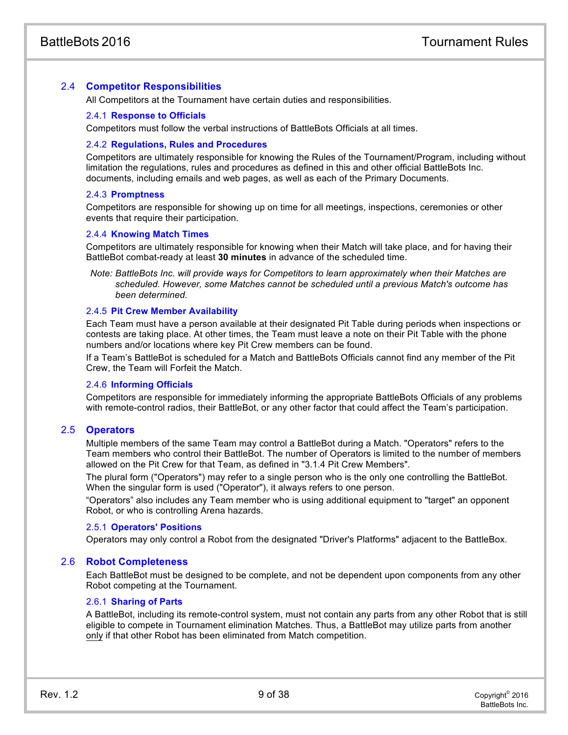# 2.4 **Competitor Responsibilities**

<span id="page-9-0"></span>All Competitors at the Tournament have certain duties and responsibilities.

## 2.4.1 **Response to Officials**

Competitors must follow the verbal instructions of BattleBots Officials at all times.

#### 2.4.2 **Regulations, Rules and Procedures**

Competitors are ultimately responsible for knowing the Rules of the Tournament/Program, including without limitation the regulations, rules and procedures as defined in this and other official BattleBots Inc. documents, including emails and web pages, as well as each of the Primary Documents.

## 2.4.3 **Promptness**

Competitors are responsible for showing up on time for all meetings, inspections, ceremonies or other events that require their participation.

## 2.4.4 **Knowing Match Times**

Competitors are ultimately responsible for knowing when their Match will take place, and for having their BattleBot combat-ready at least **30 minutes** in advance of the scheduled time.

*Note: BattleBots Inc. will provide ways for Competitors to learn approximately when their Matches are scheduled. However, some Matches cannot be scheduled until a previous Match's outcome has been determined.*

#### 2.4.5 **Pit Crew Member Availability**

Each Team must have a person available at their designated Pit Table during periods when inspections or contests are taking place. At other times, the Team must leave a note on their Pit Table with the phone numbers and/or locations where key Pit Crew members can be found.

If a Team's BattleBot is scheduled for a Match and BattleBots Officials cannot find any member of the Pit Crew, the Team will Forfeit the Match.

#### 2.4.6 **Informing Officials**

Competitors are responsible for immediately informing the appropriate BattleBots Officials of any problems with remote-control radios, their BattleBot, or any other factor that could affect the Team's participation.

# 2.5 **Operators**

Multiple members of the same Team may control a BattleBot during a Match. "Operators" refers to the Team members who control their BattleBot. The number of Operators is limited to the number of members allowed on the Pit Crew for that Team, as defined in "3.1.4 Pit Crew Members".

The plural form ("Operators") may refer to a single person who is the only one controlling the BattleBot. When the singular form is used ("Operator"), it always refers to one person.

"Operators" also includes any Team member who is using additional equipment to "target" an opponent Robot, or who is controlling Arena hazards.

#### 2.5.1 **Operators' Positions**

Operators may only control a Robot from the designated "Driver's Platforms" adjacent to the BattleBox.

# 2.6 **Robot Completeness**

Each BattleBot must be designed to be complete, and not be dependent upon components from any other Robot competing at the Tournament.

## 2.6.1 **Sharing of Parts**

A BattleBot, including its remote-control system, must not contain any parts from any other Robot that is still eligible to compete in Tournament elimination Matches. Thus, a BattleBot may utilize parts from another only if that other Robot has been eliminated from Match competition.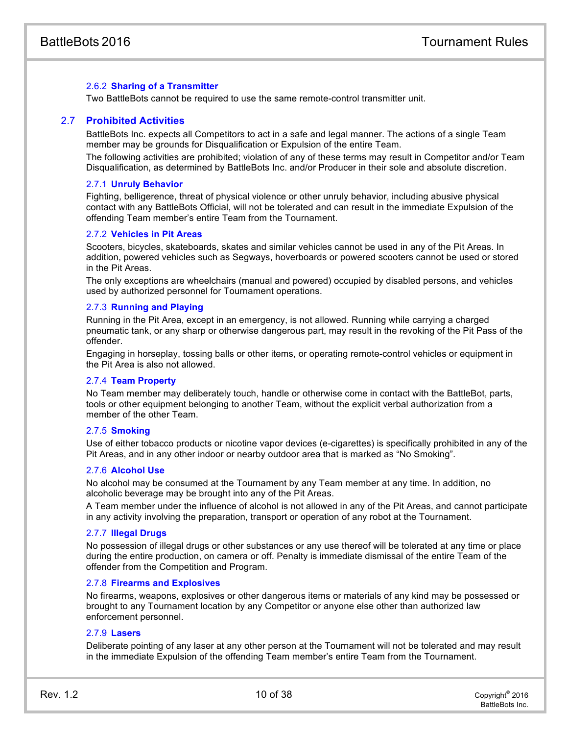# <span id="page-10-0"></span>2.6.2 **Sharing of a Transmitter**

Two BattleBots cannot be required to use the same remote-control transmitter unit.

#### 2.7 **Prohibited Activities**

BattleBots Inc. expects all Competitors to act in a safe and legal manner. The actions of a single Team member may be grounds for Disqualification or Expulsion of the entire Team.

The following activities are prohibited; violation of any of these terms may result in Competitor and/or Team Disqualification, as determined by BattleBots Inc. and/or Producer in their sole and absolute discretion.

#### 2.7.1 **Unruly Behavior**

Fighting, belligerence, threat of physical violence or other unruly behavior, including abusive physical contact with any BattleBots Official, will not be tolerated and can result in the immediate Expulsion of the offending Team member's entire Team from the Tournament.

#### 2.7.2 **Vehicles in Pit Areas**

Scooters, bicycles, skateboards, skates and similar vehicles cannot be used in any of the Pit Areas. In addition, powered vehicles such as Segways, hoverboards or powered scooters cannot be used or stored in the Pit Areas.

The only exceptions are wheelchairs (manual and powered) occupied by disabled persons, and vehicles used by authorized personnel for Tournament operations.

#### 2.7.3 **Running and Playing**

Running in the Pit Area, except in an emergency, is not allowed. Running while carrying a charged pneumatic tank, or any sharp or otherwise dangerous part, may result in the revoking of the Pit Pass of the offender.

Engaging in horseplay, tossing balls or other items, or operating remote-control vehicles or equipment in the Pit Area is also not allowed.

#### 2.7.4 **Team Property**

No Team member may deliberately touch, handle or otherwise come in contact with the BattleBot, parts, tools or other equipment belonging to another Team, without the explicit verbal authorization from a member of the other Team.

#### <span id="page-10-1"></span>2.7.5 **Smoking**

Use of either tobacco products or nicotine vapor devices (e-cigarettes) is specifically prohibited in any of the Pit Areas, and in any other indoor or nearby outdoor area that is marked as "No Smoking".

#### 2.7.6 **Alcohol Use**

No alcohol may be consumed at the Tournament by any Team member at any time. In addition, no alcoholic beverage may be brought into any of the Pit Areas.

A Team member under the influence of alcohol is not allowed in any of the Pit Areas, and cannot participate in any activity involving the preparation, transport or operation of any robot at the Tournament.

#### 2.7.7 **Illegal Drugs**

<span id="page-10-2"></span>No possession of illegal drugs or other substances or any use thereof will be tolerated at any time or place during the entire production, on camera or off. Penalty is immediate dismissal of the entire Team of the offender from the Competition and Program.

#### 2.7.8 **Firearms and Explosives**

No firearms, weapons, explosives or other dangerous items or materials of any kind may be possessed or brought to any Tournament location by any Competitor or anyone else other than authorized law enforcement personnel.

#### 2.7.9 **Lasers**

Deliberate pointing of any laser at any other person at the Tournament will not be tolerated and may result in the immediate Expulsion of the offending Team member's entire Team from the Tournament.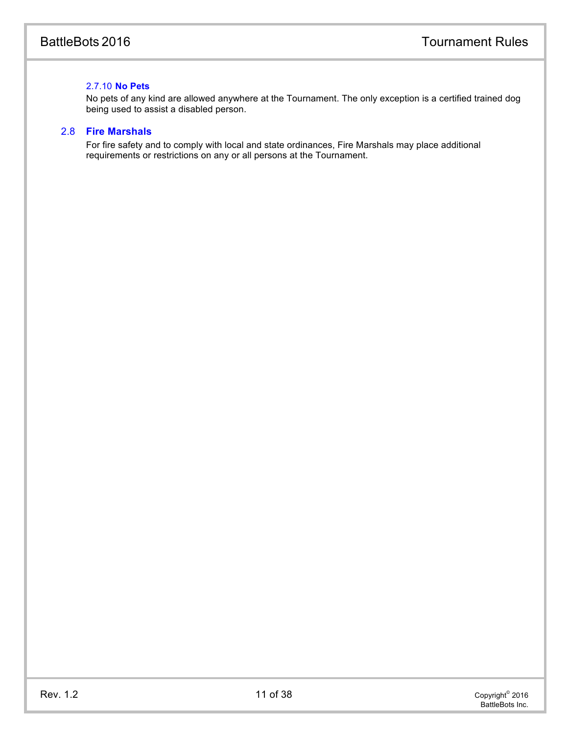# 2.7.10 **No Pets**

<span id="page-11-0"></span>No pets of any kind are allowed anywhere at the Tournament. The only exception is a certified trained dog being used to assist a disabled person.

# 2.8 **Fire Marshals**

For fire safety and to comply with local and state ordinances, Fire Marshals may place additional requirements or restrictions on any or all persons at the Tournament.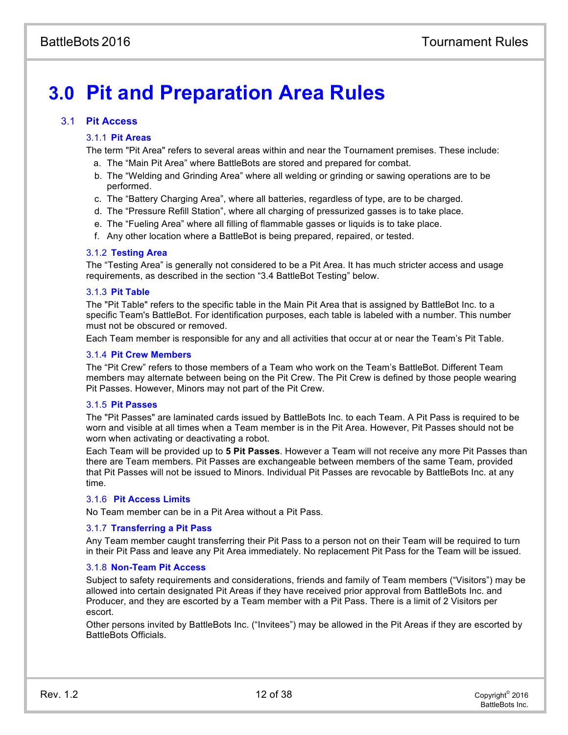# **3.0 Pit and Preparation Area Rules**

# 3.1 **Pit Access**

# <span id="page-12-0"></span>3.1.1 **Pit Areas**

The term "Pit Area" refers to several areas within and near the Tournament premises. These include:

- a. The "Main Pit Area" where BattleBots are stored and prepared for combat.
- b. The "Welding and Grinding Area" where all welding or grinding or sawing operations are to be performed.
- c. The "Battery Charging Area", where all batteries, regardless of type, are to be charged.
- d. The "Pressure Refill Station", where all charging of pressurized gasses is to take place.
- e. The "Fueling Area" where all filling of flammable gasses or liquids is to take place.
- f. Any other location where a BattleBot is being prepared, repaired, or tested.

## 3.1.2 **Testing Area**

The "Testing Area" is generally not considered to be a Pit Area. It has much stricter access and usage requirements, as described in the section "3.4 BattleBot Testing" below.

## 3.1.3 **Pit Table**

The "Pit Table" refers to the specific table in the Main Pit Area that is assigned by BattleBot Inc. to a specific Team's BattleBot. For identification purposes, each table is labeled with a number. This number must not be obscured or removed.

Each Team member is responsible for any and all activities that occur at or near the Team's Pit Table.

## 3.1.4 **Pit Crew Members**

The "Pit Crew" refers to those members of a Team who work on the Team's BattleBot. Different Team members may alternate between being on the Pit Crew. The Pit Crew is defined by those people wearing Pit Passes. However, Minors may not part of the Pit Crew.

#### 3.1.5 **Pit Passes**

The "Pit Passes" are laminated cards issued by BattleBots Inc. to each Team. A Pit Pass is required to be worn and visible at all times when a Team member is in the Pit Area. However, Pit Passes should not be worn when activating or deactivating a robot.

Each Team will be provided up to **5 Pit Passes**. However a Team will not receive any more Pit Passes than there are Team members. Pit Passes are exchangeable between members of the same Team, provided that Pit Passes will not be issued to Minors. Individual Pit Passes are revocable by BattleBots Inc. at any time.

#### 3.1.6 **Pit Access Limits**

No Team member can be in a Pit Area without a Pit Pass.

#### 3.1.7 **Transferring a Pit Pass**

Any Team member caught transferring their Pit Pass to a person not on their Team will be required to turn in their Pit Pass and leave any Pit Area immediately. No replacement Pit Pass for the Team will be issued.

#### 3.1.8 **Non-Team Pit Access**

Subject to safety requirements and considerations, friends and family of Team members ("Visitors") may be allowed into certain designated Pit Areas if they have received prior approval from BattleBots Inc. and Producer, and they are escorted by a Team member with a Pit Pass. There is a limit of 2 Visitors per escort.

Other persons invited by BattleBots Inc. ("Invitees") may be allowed in the Pit Areas if they are escorted by BattleBots Officials.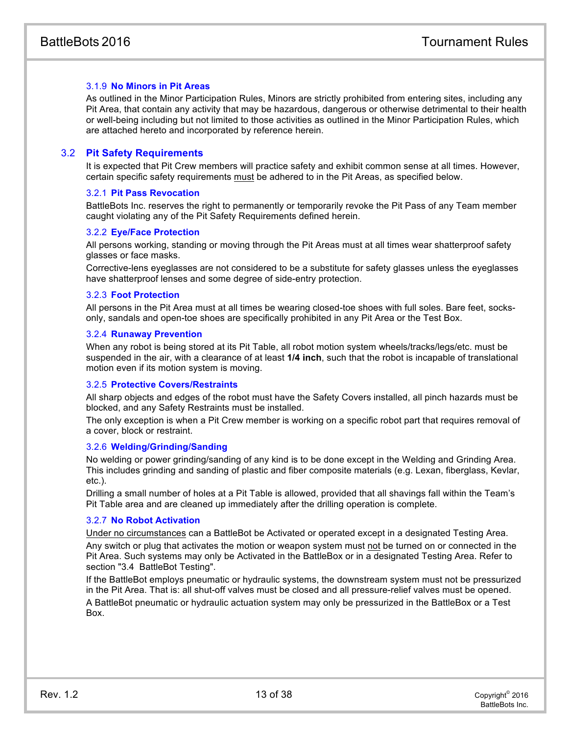# <span id="page-13-0"></span>3.1.9 **No Minors in Pit Areas**

<span id="page-13-1"></span>As outlined in the Minor Participation Rules, Minors are strictly prohibited from entering sites, including any Pit Area, that contain any activity that may be hazardous, dangerous or otherwise detrimental to their health or well-being including but not limited to those activities as outlined in the Minor Participation Rules, which are attached hereto and incorporated by reference herein.

# 3.2 **Pit Safety Requirements**

It is expected that Pit Crew members will practice safety and exhibit common sense at all times. However, certain specific safety requirements must be adhered to in the Pit Areas, as specified below.

#### 3.2.1 **Pit Pass Revocation**

BattleBots Inc. reserves the right to permanently or temporarily revoke the Pit Pass of any Team member caught violating any of the Pit Safety Requirements defined herein.

#### 3.2.2 **Eye/Face Protection**

All persons working, standing or moving through the Pit Areas must at all times wear shatterproof safety glasses or face masks.

Corrective-lens eyeglasses are not considered to be a substitute for safety glasses unless the eyeglasses have shatterproof lenses and some degree of side-entry protection.

#### 3.2.3 **Foot Protection**

All persons in the Pit Area must at all times be wearing closed-toe shoes with full soles. Bare feet, socksonly, sandals and open-toe shoes are specifically prohibited in any Pit Area or the Test Box.

#### 3.2.4 **Runaway Prevention**

When any robot is being stored at its Pit Table, all robot motion system wheels/tracks/legs/etc. must be suspended in the air, with a clearance of at least **1/4 inch**, such that the robot is incapable of translational motion even if its motion system is moving.

#### 3.2.5 **Protective Covers/Restraints**

All sharp objects and edges of the robot must have the Safety Covers installed, all pinch hazards must be blocked, and any Safety Restraints must be installed.

The only exception is when a Pit Crew member is working on a specific robot part that requires removal of a cover, block or restraint.

#### 3.2.6 **Welding/Grinding/Sanding**

No welding or power grinding/sanding of any kind is to be done except in the Welding and Grinding Area. This includes grinding and sanding of plastic and fiber composite materials (e.g. Lexan, fiberglass, Kevlar, etc.).

Drilling a small number of holes at a Pit Table is allowed, provided that all shavings fall within the Team's Pit Table area and are cleaned up immediately after the drilling operation is complete.

#### 3.2.7 **No Robot Activation**

Under no circumstances can a BattleBot be Activated or operated except in a designated Testing Area.

Any switch or plug that activates the motion or weapon system must not be turned on or connected in the Pit Area. Such systems may only be Activated in the BattleBox or in a designated Testing Area. Refer to section "3.4 BattleBot Testing".

If the BattleBot employs pneumatic or hydraulic systems, the downstream system must not be pressurized in the Pit Area. That is: all shut-off valves must be closed and all pressure-relief valves must be opened.

A BattleBot pneumatic or hydraulic actuation system may only be pressurized in the BattleBox or a Test Box.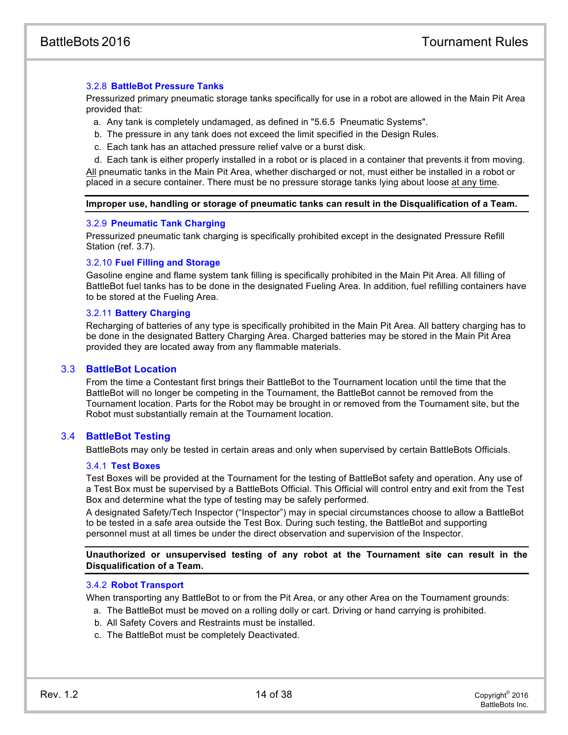# 3.2.8 **BattleBot Pressure Tanks**

Pressurized primary pneumatic storage tanks specifically for use in a robot are allowed in the Main Pit Area provided that:

- a. Any tank is completely undamaged, as defined in "5.6.5 Pneumatic Systems".
- b. The pressure in any tank does not exceed the limit specified in the Design Rules.
- <span id="page-14-0"></span>c. Each tank has an attached pressure relief valve or a burst disk.

d. Each tank is either properly installed in a robot or is placed in a container that prevents it from moving. All pneumatic tanks in the Main Pit Area, whether discharged or not, must either be installed in a robot or placed in a secure container. There must be no pressure storage tanks lying about loose at any time.

#### **Improper use, handling or storage of pneumatic tanks can result in the Disqualification of a Team.**

#### 3.2.9 **Pneumatic Tank Charging**

Pressurized pneumatic tank charging is specifically prohibited except in the designated Pressure Refill Station (ref. 3.7).

#### 3.2.10 **Fuel Filling and Storage**

Gasoline engine and flame system tank filling is specifically prohibited in the Main Pit Area. All filling of BattleBot fuel tanks has to be done in the designated Fueling Area. In addition, fuel refilling containers have to be stored at the Fueling Area.

#### 3.2.11 **Battery Charging**

Recharging of batteries of any type is specifically prohibited in the Main Pit Area. All battery charging has to be done in the designated Battery Charging Area. Charged batteries may be stored in the Main Pit Area provided they are located away from any flammable materials.

# 3.3 **BattleBot Location**

From the time a Contestant first brings their BattleBot to the Tournament location until the time that the BattleBot will no longer be competing in the Tournament, the BattleBot cannot be removed from the Tournament location. Parts for the Robot may be brought in or removed from the Tournament site, but the Robot must substantially remain at the Tournament location.

# 3.4 **BattleBot Testing**

BattleBots may only be tested in certain areas and only when supervised by certain BattleBots Officials.

#### 3.4.1 **Test Boxes**

Test Boxes will be provided at the Tournament for the testing of BattleBot safety and operation. Any use of a Test Box must be supervised by a BattleBots Official. This Official will control entry and exit from the Test Box and determine what the type of testing may be safely performed.

A designated Safety/Tech Inspector ("Inspector") may in special circumstances choose to allow a BattleBot to be tested in a safe area outside the Test Box. During such testing, the BattleBot and supporting personnel must at all times be under the direct observation and supervision of the Inspector.

**Unauthorized or unsupervised testing of any robot at the Tournament site can result in the Disqualification of a Team.**

#### 3.4.2 **Robot Transport**

When transporting any BattleBot to or from the Pit Area, or any other Area on the Tournament grounds:

- a. The BattleBot must be moved on a rolling dolly or cart. Driving or hand carrying is prohibited.
- b. All Safety Covers and Restraints must be installed.
- c. The BattleBot must be completely Deactivated.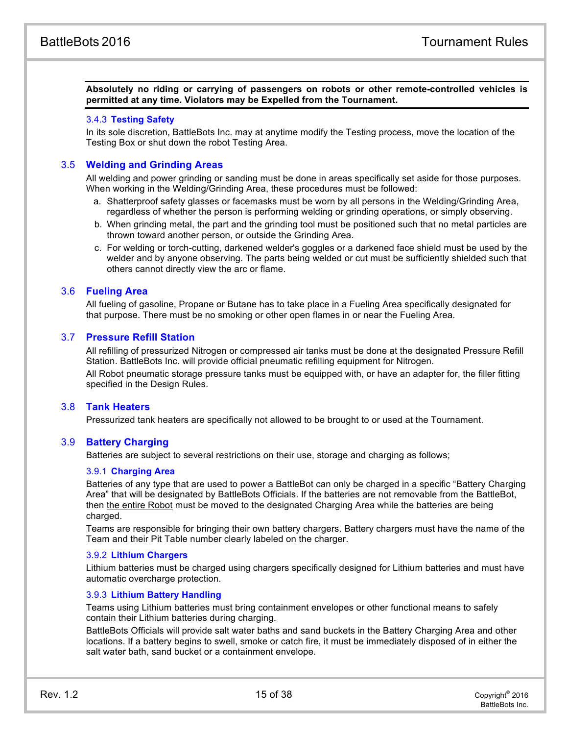**Absolutely no riding or carrying of passengers on robots or other remote-controlled vehicles is permitted at any time. Violators may be Expelled from the Tournament.**

#### 3.4.3 **Testing Safety**

In its sole discretion, BattleBots Inc. may at anytime modify the Testing process, move the location of the Testing Box or shut down the robot Testing Area.

# 3.5 **Welding and Grinding Areas**

All welding and power grinding or sanding must be done in areas specifically set aside for those purposes. When working in the Welding/Grinding Area, these procedures must be followed:

- a. Shatterproof safety glasses or facemasks must be worn by all persons in the Welding/Grinding Area, regardless of whether the person is performing welding or grinding operations, or simply observing.
- b. When grinding metal, the part and the grinding tool must be positioned such that no metal particles are thrown toward another person, or outside the Grinding Area.
- c. For welding or torch-cutting, darkened welder's goggles or a darkened face shield must be used by the welder and by anyone observing. The parts being welded or cut must be sufficiently shielded such that others cannot directly view the arc or flame.

## 3.6 **Fueling Area**

All fueling of gasoline, Propane or Butane has to take place in a Fueling Area specifically designated for that purpose. There must be no smoking or other open flames in or near the Fueling Area.

# 3.7 **Pressure Refill Station**

All refilling of pressurized Nitrogen or compressed air tanks must be done at the designated Pressure Refill Station. BattleBots Inc. will provide official pneumatic refilling equipment for Nitrogen.

<span id="page-15-0"></span>All Robot pneumatic storage pressure tanks must be equipped with, or have an adapter for, the filler fitting specified in the Design Rules.

#### 3.8 **Tank Heaters**

<span id="page-15-1"></span>Pressurized tank heaters are specifically not allowed to be brought to or used at the Tournament.

#### 3.9 **Battery Charging**

Batteries are subject to several restrictions on their use, storage and charging as follows;

#### 3.9.1 **Charging Area**

Batteries of any type that are used to power a BattleBot can only be charged in a specific "Battery Charging Area" that will be designated by BattleBots Officials. If the batteries are not removable from the BattleBot, then the entire Robot must be moved to the designated Charging Area while the batteries are being charged.

Teams are responsible for bringing their own battery chargers. Battery chargers must have the name of the Team and their Pit Table number clearly labeled on the charger.

#### 3.9.2 **Lithium Chargers**

Lithium batteries must be charged using chargers specifically designed for Lithium batteries and must have automatic overcharge protection.

#### 3.9.3 **Lithium Battery Handling**

Teams using Lithium batteries must bring containment envelopes or other functional means to safely contain their Lithium batteries during charging.

BattleBots Officials will provide salt water baths and sand buckets in the Battery Charging Area and other locations. If a battery begins to swell, smoke or catch fire, it must be immediately disposed of in either the salt water bath, sand bucket or a containment envelope.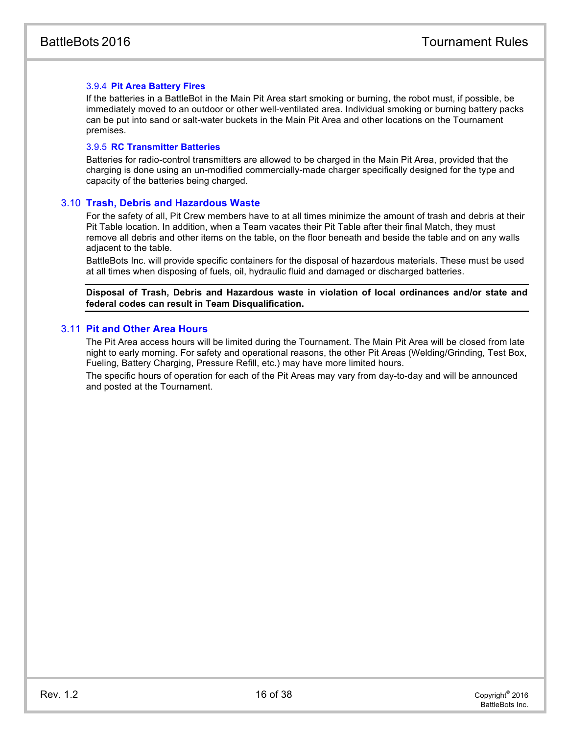# 3.9.4 **Pit Area Battery Fires**

If the batteries in a BattleBot in the Main Pit Area start smoking or burning, the robot must, if possible, be immediately moved to an outdoor or other well-ventilated area. Individual smoking or burning battery packs can be put into sand or salt-water buckets in the Main Pit Area and other locations on the Tournament premises.

#### 3.9.5 **RC Transmitter Batteries**

<span id="page-16-0"></span>Batteries for radio-control transmitters are allowed to be charged in the Main Pit Area, provided that the charging is done using an un-modified commercially-made charger specifically designed for the type and capacity of the batteries being charged.

## 3.10 **Trash, Debris and Hazardous Waste**

For the safety of all, Pit Crew members have to at all times minimize the amount of trash and debris at their Pit Table location. In addition, when a Team vacates their Pit Table after their final Match, they must remove all debris and other items on the table, on the floor beneath and beside the table and on any walls adjacent to the table.

BattleBots Inc. will provide specific containers for the disposal of hazardous materials. These must be used at all times when disposing of fuels, oil, hydraulic fluid and damaged or discharged batteries.

<span id="page-16-1"></span>**Disposal of Trash, Debris and Hazardous waste in violation of local ordinances and/or state and federal codes can result in Team Disqualification.**

# 3.11 **Pit and Other Area Hours**

<span id="page-16-2"></span>The Pit Area access hours will be limited during the Tournament. The Main Pit Area will be closed from late night to early morning. For safety and operational reasons, the other Pit Areas (Welding/Grinding, Test Box, Fueling, Battery Charging, Pressure Refill, etc.) may have more limited hours.

<span id="page-16-4"></span><span id="page-16-3"></span>The specific hours of operation for each of the Pit Areas may vary from day-to-day and will be announced and posted at the Tournament.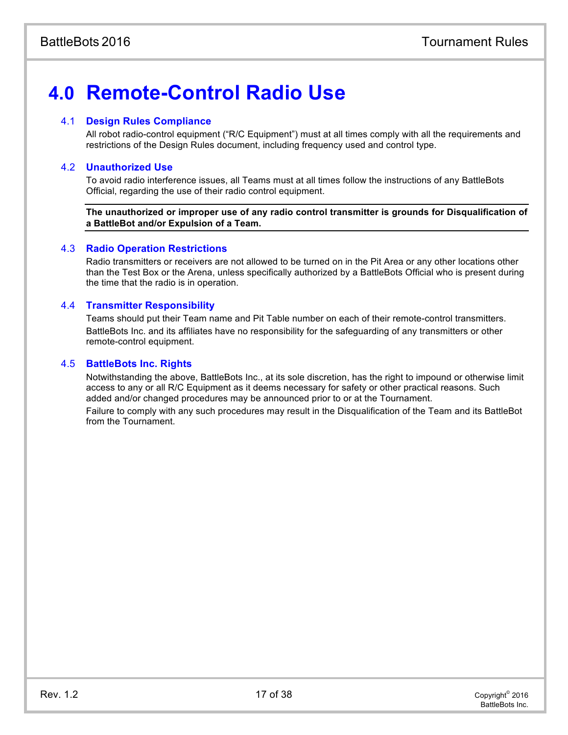# **4.0 Remote-Control Radio Use**

# 4.1 **Design Rules Compliance**

All robot radio-control equipment ("R/C Equipment") must at all times comply with all the requirements and restrictions of the Design Rules document, including frequency used and control type.

# 4.2 **Unauthorized Use**

To avoid radio interference issues, all Teams must at all times follow the instructions of any BattleBots Official, regarding the use of their radio control equipment.

<span id="page-17-0"></span>**The unauthorized or improper use of any radio control transmitter is grounds for Disqualification of a BattleBot and/or Expulsion of a Team.**

# 4.3 **Radio Operation Restrictions**

Radio transmitters or receivers are not allowed to be turned on in the Pit Area or any other locations other than the Test Box or the Arena, unless specifically authorized by a BattleBots Official who is present during the time that the radio is in operation.

# 4.4 **Transmitter Responsibility**

<span id="page-17-1"></span>Teams should put their Team name and Pit Table number on each of their remote-control transmitters. BattleBots Inc. and its affiliates have no responsibility for the safeguarding of any transmitters or other remote-control equipment.

# 4.5 **BattleBots Inc. Rights**

Notwithstanding the above, BattleBots Inc., at its sole discretion, has the right to impound or otherwise limit access to any or all R/C Equipment as it deems necessary for safety or other practical reasons. Such added and/or changed procedures may be announced prior to or at the Tournament. Failure to comply with any such procedures may result in the Disqualification of the Team and its BattleBot

from the Tournament.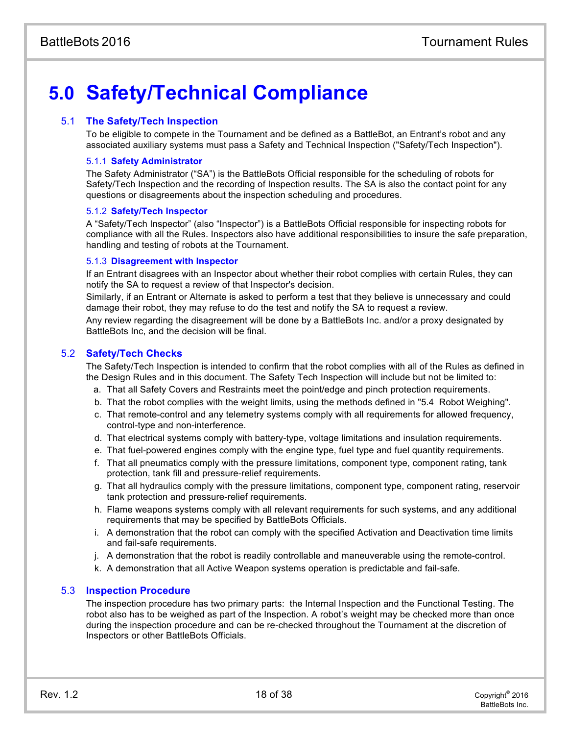# <span id="page-18-0"></span>**5.0 Safety/Technical Compliance**

# 5.1 **The Safety/Tech Inspection**

<span id="page-18-1"></span>To be eligible to compete in the Tournament and be defined as a BattleBot, an Entrant's robot and any associated auxiliary systems must pass a Safety and Technical Inspection ("Safety/Tech Inspection").

## <span id="page-18-2"></span>5.1.1 **Safety Administrator**

The Safety Administrator ("SA") is the BattleBots Official responsible for the scheduling of robots for Safety/Tech Inspection and the recording of Inspection results. The SA is also the contact point for any questions or disagreements about the inspection scheduling and procedures.

#### 5.1.2 **Safety/Tech Inspector**

A "Safety/Tech Inspector" (also "Inspector") is a BattleBots Official responsible for inspecting robots for compliance with all the Rules. Inspectors also have additional responsibilities to insure the safe preparation, handling and testing of robots at the Tournament.

#### <span id="page-18-3"></span>5.1.3 **Disagreement with Inspector**

If an Entrant disagrees with an Inspector about whether their robot complies with certain Rules, they can notify the SA to request a review of that Inspector's decision.

<span id="page-18-4"></span>Similarly, if an Entrant or Alternate is asked to perform a test that they believe is unnecessary and could damage their robot, they may refuse to do the test and notify the SA to request a review.

Any review regarding the disagreement will be done by a BattleBots Inc. and/or a proxy designated by BattleBots Inc, and the decision will be final.

## 5.2 **Safety/Tech Checks**

<span id="page-18-5"></span>The Safety/Tech Inspection is intended to confirm that the robot complies with all of the Rules as defined in the Design Rules and in this document. The Safety Tech Inspection will include but not be limited to:

- a. That all Safety Covers and Restraints meet the point/edge and pinch protection requirements.
- b. That the robot complies with the weight limits, using the methods defined in "5.4 Robot Weighing".
- c. That remote-control and any telemetry systems comply with all requirements for allowed frequency, control-type and non-interference.
- d. That electrical systems comply with battery-type, voltage limitations and insulation requirements.
- e. That fuel-powered engines comply with the engine type, fuel type and fuel quantity requirements.
- f. That all pneumatics comply with the pressure limitations, component type, component rating, tank protection, tank fill and pressure-relief requirements.
- g. That all hydraulics comply with the pressure limitations, component type, component rating, reservoir tank protection and pressure-relief requirements.
- h. Flame weapons systems comply with all relevant requirements for such systems, and any additional requirements that may be specified by BattleBots Officials.
- i. A demonstration that the robot can comply with the specified Activation and Deactivation time limits and fail-safe requirements.
- j. A demonstration that the robot is readily controllable and maneuverable using the remote-control.
- k. A demonstration that all Active Weapon systems operation is predictable and fail-safe.

# 5.3 **Inspection Procedure**

The inspection procedure has two primary parts: the Internal Inspection and the Functional Testing. The robot also has to be weighed as part of the Inspection. A robot's weight may be checked more than once during the inspection procedure and can be re-checked throughout the Tournament at the discretion of Inspectors or other BattleBots Officials.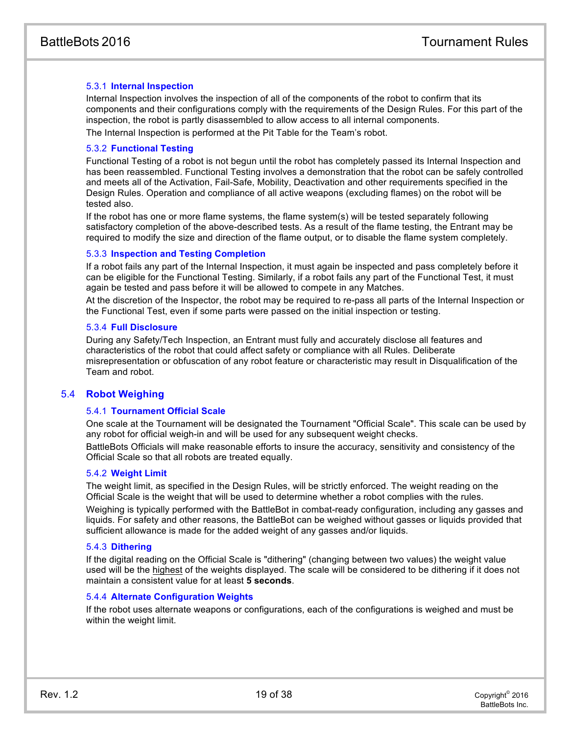# 5.3.1 **Internal Inspection**

Internal Inspection involves the inspection of all of the components of the robot to confirm that its components and their configurations comply with the requirements of the Design Rules. For this part of the inspection, the robot is partly disassembled to allow access to all internal components. The Internal Inspection is performed at the Pit Table for the Team's robot.

5.3.2 **Functional Testing**

Functional Testing of a robot is not begun until the robot has completely passed its Internal Inspection and has been reassembled. Functional Testing involves a demonstration that the robot can be safely controlled and meets all of the Activation, Fail-Safe, Mobility, Deactivation and other requirements specified in the Design Rules. Operation and compliance of all active weapons (excluding flames) on the robot will be tested also.

If the robot has one or more flame systems, the flame system(s) will be tested separately following satisfactory completion of the above-described tests. As a result of the flame testing, the Entrant may be required to modify the size and direction of the flame output, or to disable the flame system completely.

#### 5.3.3 **Inspection and Testing Completion**

If a robot fails any part of the Internal Inspection, it must again be inspected and pass completely before it can be eligible for the Functional Testing. Similarly, if a robot fails any part of the Functional Test, it must again be tested and pass before it will be allowed to compete in any Matches.

At the discretion of the Inspector, the robot may be required to re-pass all parts of the Internal Inspection or the Functional Test, even if some parts were passed on the initial inspection or testing.

#### 5.3.4 **Full Disclosure**

During any Safety/Tech Inspection, an Entrant must fully and accurately disclose all features and characteristics of the robot that could affect safety or compliance with all Rules. Deliberate misrepresentation or obfuscation of any robot feature or characteristic may result in Disqualification of the Team and robot.

# 5.4 **Robot Weighing**

#### 5.4.1 **Tournament Official Scale**

One scale at the Tournament will be designated the Tournament "Official Scale". This scale can be used by any robot for official weigh-in and will be used for any subsequent weight checks.

BattleBots Officials will make reasonable efforts to insure the accuracy, sensitivity and consistency of the Official Scale so that all robots are treated equally.

#### 5.4.2 **Weight Limit**

The weight limit, as specified in the Design Rules, will be strictly enforced. The weight reading on the Official Scale is the weight that will be used to determine whether a robot complies with the rules.

Weighing is typically performed with the BattleBot in combat-ready configuration, including any gasses and liquids. For safety and other reasons, the BattleBot can be weighed without gasses or liquids provided that sufficient allowance is made for the added weight of any gasses and/or liquids.

#### 5.4.3 **Dithering**

If the digital reading on the Official Scale is "dithering" (changing between two values) the weight value used will be the highest of the weights displayed. The scale will be considered to be dithering if it does not maintain a consistent value for at least **5 seconds**.

#### 5.4.4 **Alternate Configuration Weights**

If the robot uses alternate weapons or configurations, each of the configurations is weighed and must be within the weight limit.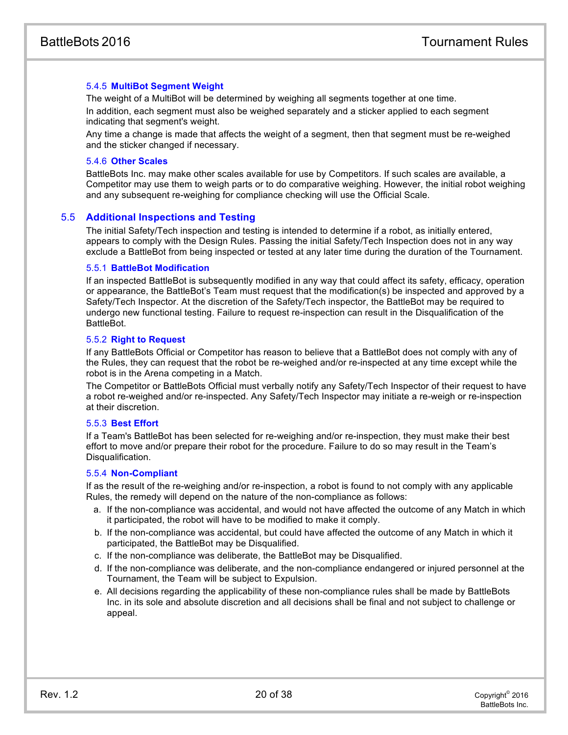# 5.4.5 **MultiBot Segment Weight**

The weight of a MultiBot will be determined by weighing all segments together at one time. In addition, each segment must also be weighed separately and a sticker applied to each segment indicating that segment's weight.

Any time a change is made that affects the weight of a segment, then that segment must be re-weighed and the sticker changed if necessary.

#### 5.4.6 **Other Scales**

BattleBots Inc. may make other scales available for use by Competitors. If such scales are available, a Competitor may use them to weigh parts or to do comparative weighing. However, the initial robot weighing and any subsequent re-weighing for compliance checking will use the Official Scale.

# 5.5 **Additional Inspections and Testing**

The initial Safety/Tech inspection and testing is intended to determine if a robot, as initially entered, appears to comply with the Design Rules. Passing the initial Safety/Tech Inspection does not in any way exclude a BattleBot from being inspected or tested at any later time during the duration of the Tournament.

## 5.5.1 **BattleBot Modification**

If an inspected BattleBot is subsequently modified in any way that could affect its safety, efficacy, operation or appearance, the BattleBot's Team must request that the modification(s) be inspected and approved by a Safety/Tech Inspector. At the discretion of the Safety/Tech inspector, the BattleBot may be required to undergo new functional testing. Failure to request re-inspection can result in the Disqualification of the BattleBot.

## 5.5.2 **Right to Request**

If any BattleBots Official or Competitor has reason to believe that a BattleBot does not comply with any of the Rules, they can request that the robot be re-weighed and/or re-inspected at any time except while the robot is in the Arena competing in a Match.

The Competitor or BattleBots Official must verbally notify any Safety/Tech Inspector of their request to have a robot re-weighed and/or re-inspected. Any Safety/Tech Inspector may initiate a re-weigh or re-inspection at their discretion.

# 5.5.3 **Best Effort**

If a Team's BattleBot has been selected for re-weighing and/or re-inspection, they must make their best effort to move and/or prepare their robot for the procedure. Failure to do so may result in the Team's Disqualification.

#### 5.5.4 **Non-Compliant**

If as the result of the re-weighing and/or re-inspection, a robot is found to not comply with any applicable Rules, the remedy will depend on the nature of the non-compliance as follows:

- a. If the non-compliance was accidental, and would not have affected the outcome of any Match in which it participated, the robot will have to be modified to make it comply.
- b. If the non-compliance was accidental, but could have affected the outcome of any Match in which it participated, the BattleBot may be Disqualified.
- c. If the non-compliance was deliberate, the BattleBot may be Disqualified.
- d. If the non-compliance was deliberate, and the non-compliance endangered or injured personnel at the Tournament, the Team will be subject to Expulsion.
- e. All decisions regarding the applicability of these non-compliance rules shall be made by BattleBots Inc. in its sole and absolute discretion and all decisions shall be final and not subject to challenge or appeal.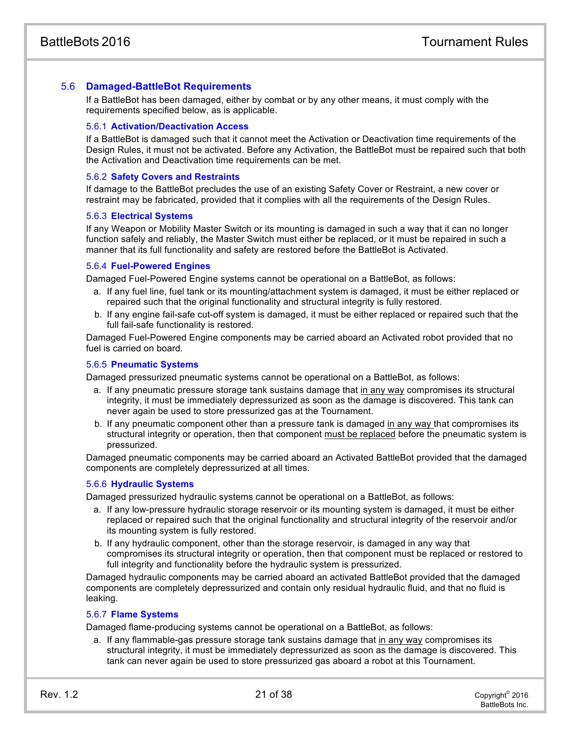# 5.6 **Damaged-BattleBot Requirements**

If a BattleBot has been damaged, either by combat or by any other means, it must comply with the requirements specified below, as is applicable.

#### 5.6.1 **Activation/Deactivation Access**

If a BattleBot is damaged such that it cannot meet the Activation or Deactivation time requirements of the Design Rules, it must not be activated. Before any Activation, the BattleBot must be repaired such that both the Activation and Deactivation time requirements can be met.

#### 5.6.2 **Safety Covers and Restraints**

If damage to the BattleBot precludes the use of an existing Safety Cover or Restraint, a new cover or restraint may be fabricated, provided that it complies with all the requirements of the Design Rules.

#### 5.6.3 **Electrical Systems**

If any Weapon or Mobility Master Switch or its mounting is damaged in such a way that it can no longer function safely and reliably, the Master Switch must either be replaced, or it must be repaired in such a manner that its full functionality and safety are restored before the BattleBot is Activated.

#### 5.6.4 **Fuel-Powered Engines**

Damaged Fuel-Powered Engine systems cannot be operational on a BattleBot, as follows:

- a. If any fuel line, fuel tank or its mounting/attachment system is damaged, it must be either replaced or repaired such that the original functionality and structural integrity is fully restored.
- b. If any engine fail-safe cut-off system is damaged, it must be either replaced or repaired such that the full fail-safe functionality is restored.

Damaged Fuel-Powered Engine components may be carried aboard an Activated robot provided that no fuel is carried on board.

#### 5.6.5 **Pneumatic Systems**

Damaged pressurized pneumatic systems cannot be operational on a BattleBot, as follows:

- a. If any pneumatic pressure storage tank sustains damage that in any way compromises its structural integrity, it must be immediately depressurized as soon as the damage is discovered. This tank can never again be used to store pressurized gas at the Tournament.
- b. If any pneumatic component other than a pressure tank is damaged in any way that compromises its structural integrity or operation, then that component must be replaced before the pneumatic system is pressurized.

Damaged pneumatic components may be carried aboard an Activated BattleBot provided that the damaged components are completely depressurized at all times.

#### 5.6.6 **Hydraulic Systems**

Damaged pressurized hydraulic systems cannot be operational on a BattleBot, as follows:

- a. If any low-pressure hydraulic storage reservoir or its mounting system is damaged, it must be either replaced or repaired such that the original functionality and structural integrity of the reservoir and/or its mounting system is fully restored.
- b. If any hydraulic component, other than the storage reservoir, is damaged in any way that compromises its structural integrity or operation, then that component must be replaced or restored to full integrity and functionality before the hydraulic system is pressurized.

Damaged hydraulic components may be carried aboard an activated BattleBot provided that the damaged components are completely depressurized and contain only residual hydraulic fluid, and that no fluid is leaking.

# 5.6.7 **Flame Systems**

Damaged flame-producing systems cannot be operational on a BattleBot, as follows:

a. If any flammable-gas pressure storage tank sustains damage that in any way compromises its structural integrity, it must be immediately depressurized as soon as the damage is discovered. This tank can never again be used to store pressurized gas aboard a robot at this Tournament.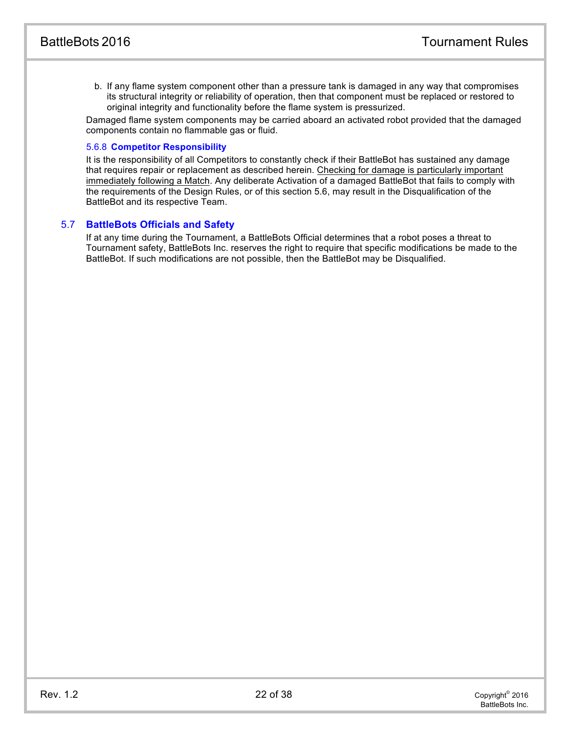b. If any flame system component other than a pressure tank is damaged in any way that compromises its structural integrity or reliability of operation, then that component must be replaced or restored to original integrity and functionality before the flame system is pressurized.

Damaged flame system components may be carried aboard an activated robot provided that the damaged components contain no flammable gas or fluid.

# 5.6.8 **Competitor Responsibility**

It is the responsibility of all Competitors to constantly check if their BattleBot has sustained any damage that requires repair or replacement as described herein. Checking for damage is particularly important immediately following a Match. Any deliberate Activation of a damaged BattleBot that fails to comply with the requirements of the Design Rules, or of this section 5.6, may result in the Disqualification of the BattleBot and its respective Team.

# 5.7 **BattleBots Officials and Safety**

If at any time during the Tournament, a BattleBots Official determines that a robot poses a threat to Tournament safety, BattleBots Inc. reserves the right to require that specific modifications be made to the BattleBot. If such modifications are not possible, then the BattleBot may be Disqualified.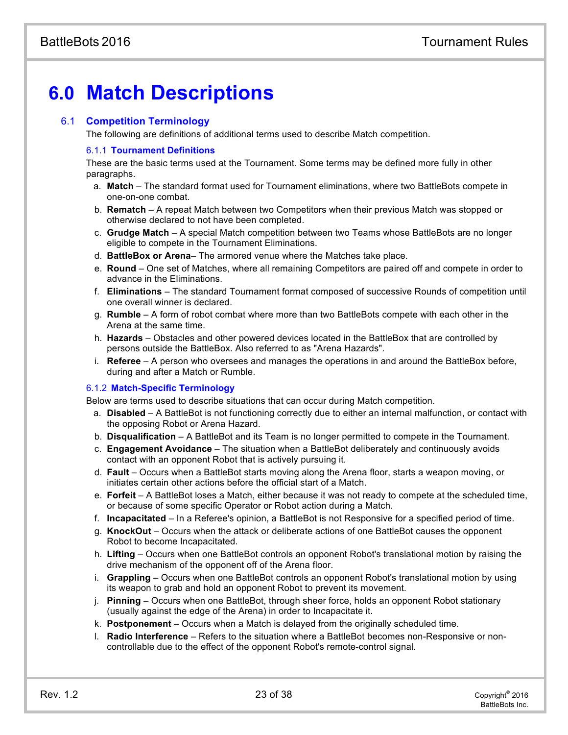# **6.0 Match Descriptions**

# 6.1 **Competition Terminology**

The following are definitions of additional terms used to describe Match competition.

## 6.1.1 **Tournament Definitions**

These are the basic terms used at the Tournament. Some terms may be defined more fully in other paragraphs.

- a. **Match** The standard format used for Tournament eliminations, where two BattleBots compete in one-on-one combat.
- b. **Rematch**  A repeat Match between two Competitors when their previous Match was stopped or otherwise declared to not have been completed.
- c. **Grudge Match** A special Match competition between two Teams whose BattleBots are no longer eligible to compete in the Tournament Eliminations.
- d. **BattleBox or Arena** The armored venue where the Matches take place.
- e. **Round** One set of Matches, where all remaining Competitors are paired off and compete in order to advance in the Eliminations.
- f. **Eliminations** The standard Tournament format composed of successive Rounds of competition until one overall winner is declared.
- g. **Rumble** A form of robot combat where more than two BattleBots compete with each other in the Arena at the same time.
- h. **Hazards** Obstacles and other powered devices located in the BattleBox that are controlled by persons outside the BattleBox. Also referred to as "Arena Hazards".
- i. **Referee** A person who oversees and manages the operations in and around the BattleBox before, during and after a Match or Rumble.

# 6.1.2 **Match-Specific Terminology**

Below are terms used to describe situations that can occur during Match competition.

- a. **Disabled** A BattleBot is not functioning correctly due to either an internal malfunction, or contact with the opposing Robot or Arena Hazard.
- b. **Disqualification** A BattleBot and its Team is no longer permitted to compete in the Tournament.
- c. **Engagement Avoidance** The situation when a BattleBot deliberately and continuously avoids contact with an opponent Robot that is actively pursuing it.
- d. **Fault** Occurs when a BattleBot starts moving along the Arena floor, starts a weapon moving, or initiates certain other actions before the official start of a Match.
- e. **Forfeit** A BattleBot loses a Match, either because it was not ready to compete at the scheduled time, or because of some specific Operator or Robot action during a Match.
- f. **Incapacitated** In a Referee's opinion, a BattleBot is not Responsive for a specified period of time.
- g. **KnockOut** Occurs when the attack or deliberate actions of one BattleBot causes the opponent Robot to become Incapacitated.
- h. **Lifting** Occurs when one BattleBot controls an opponent Robot's translational motion by raising the drive mechanism of the opponent off of the Arena floor.
- i. **Grappling** Occurs when one BattleBot controls an opponent Robot's translational motion by using its weapon to grab and hold an opponent Robot to prevent its movement.
- j. **Pinning** Occurs when one BattleBot, through sheer force, holds an opponent Robot stationary (usually against the edge of the Arena) in order to Incapacitate it.
- k. **Postponement** Occurs when a Match is delayed from the originally scheduled time.
- l. **Radio Interference** Refers to the situation where a BattleBot becomes non-Responsive or noncontrollable due to the effect of the opponent Robot's remote-control signal.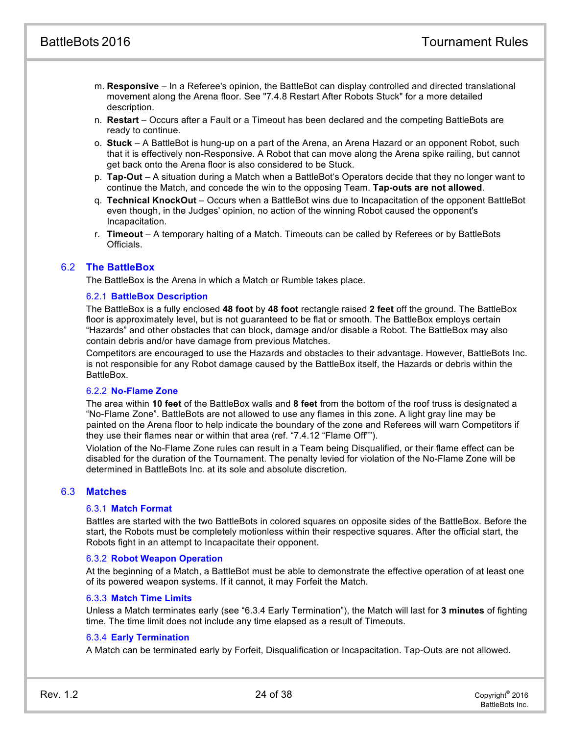- m. **Responsive** In a Referee's opinion, the BattleBot can display controlled and directed translational movement along the Arena floor. See "7.4.8 Restart After Robots Stuck" for a more detailed description.
- <span id="page-24-0"></span>n. **Restart** – Occurs after a Fault or a Timeout has been declared and the competing BattleBots are ready to continue.
- o. **Stuck** A BattleBot is hung-up on a part of the Arena, an Arena Hazard or an opponent Robot, such that it is effectively non-Responsive. A Robot that can move along the Arena spike railing, but cannot get back onto the Arena floor is also considered to be Stuck.
- p. **Tap-Out** A situation during a Match when a BattleBot's Operators decide that they no longer want to continue the Match, and concede the win to the opposing Team. **Tap-outs are not allowed**.
- q. **Technical KnockOut** Occurs when a BattleBot wins due to Incapacitation of the opponent BattleBot even though, in the Judges' opinion, no action of the winning Robot caused the opponent's Incapacitation.
- r. **Timeout** A temporary halting of a Match. Timeouts can be called by Referees or by BattleBots Officials.

# 6.2 **The BattleBox**

The BattleBox is the Arena in which a Match or Rumble takes place.

## 6.2.1 **BattleBox Description**

The BattleBox is a fully enclosed **48 foot** by **48 foot** rectangle raised **2 feet** off the ground. The BattleBox floor is approximately level, but is not guaranteed to be flat or smooth. The BattleBox employs certain "Hazards" and other obstacles that can block, damage and/or disable a Robot. The BattleBox may also contain debris and/or have damage from previous Matches.

Competitors are encouraged to use the Hazards and obstacles to their advantage. However, BattleBots Inc. is not responsible for any Robot damage caused by the BattleBox itself, the Hazards or debris within the BattleBox.

#### 6.2.2 **No-Flame Zone**

The area within **10 feet** of the BattleBox walls and **8 feet** from the bottom of the roof truss is designated a "No-Flame Zone". BattleBots are not allowed to use any flames in this zone. A light gray line may be painted on the Arena floor to help indicate the boundary of the zone and Referees will warn Competitors if they use their flames near or within that area (ref. "7.4.12 "Flame Off"").

Violation of the No-Flame Zone rules can result in a Team being Disqualified, or their flame effect can be disabled for the duration of the Tournament. The penalty levied for violation of the No-Flame Zone will be determined in BattleBots Inc. at its sole and absolute discretion.

# 6.3 **Matches**

#### 6.3.1 **Match Format**

Battles are started with the two BattleBots in colored squares on opposite sides of the BattleBox. Before the start, the Robots must be completely motionless within their respective squares. After the official start, the Robots fight in an attempt to Incapacitate their opponent.

#### 6.3.2 **Robot Weapon Operation**

At the beginning of a Match, a BattleBot must be able to demonstrate the effective operation of at least one of its powered weapon systems. If it cannot, it may Forfeit the Match.

#### 6.3.3 **Match Time Limits**

Unless a Match terminates early (see "6.3.4 Early Termination"), the Match will last for **3 minutes** of fighting time. The time limit does not include any time elapsed as a result of Timeouts.

#### 6.3.4 **Early Termination**

A Match can be terminated early by Forfeit, Disqualification or Incapacitation. Tap-Outs are not allowed.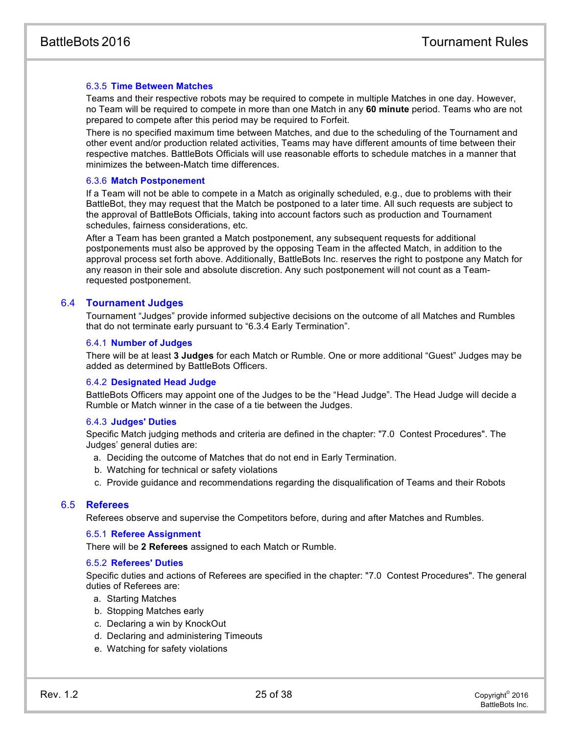# 6.3.5 **Time Between Matches**

Teams and their respective robots may be required to compete in multiple Matches in one day. However, no Team will be required to compete in more than one Match in any **60 minute** period. Teams who are not prepared to compete after this period may be required to Forfeit.

There is no specified maximum time between Matches, and due to the scheduling of the Tournament and other event and/or production related activities, Teams may have different amounts of time between their respective matches. BattleBots Officials will use reasonable efforts to schedule matches in a manner that minimizes the between-Match time differences.

#### 6.3.6 **Match Postponement**

If a Team will not be able to compete in a Match as originally scheduled, e.g., due to problems with their BattleBot, they may request that the Match be postponed to a later time. All such requests are subject to the approval of BattleBots Officials, taking into account factors such as production and Tournament schedules, fairness considerations, etc.

<span id="page-25-0"></span>After a Team has been granted a Match postponement, any subsequent requests for additional postponements must also be approved by the opposing Team in the affected Match, in addition to the approval process set forth above. Additionally, BattleBots Inc. reserves the right to postpone any Match for any reason in their sole and absolute discretion. Any such postponement will not count as a Teamrequested postponement.

# 6.4 **Tournament Judges**

Tournament "Judges" provide informed subjective decisions on the outcome of all Matches and Rumbles that do not terminate early pursuant to "6.3.4 Early Termination".

#### 6.4.1 **Number of Judges**

There will be at least **3 Judges** for each Match or Rumble. One or more additional "Guest" Judges may be added as determined by BattleBots Officers.

#### 6.4.2 **Designated Head Judge**

BattleBots Officers may appoint one of the Judges to be the "Head Judge". The Head Judge will decide a Rumble or Match winner in the case of a tie between the Judges.

#### 6.4.3 **Judges' Duties**

Specific Match judging methods and criteria are defined in the chapter: "7.0 Contest Procedures". The Judges' general duties are:

- a. Deciding the outcome of Matches that do not end in Early Termination.
- b. Watching for technical or safety violations
- c. Provide guidance and recommendations regarding the disqualification of Teams and their Robots

#### 6.5 **Referees**

Referees observe and supervise the Competitors before, during and after Matches and Rumbles.

#### 6.5.1 **Referee Assignment**

There will be **2 Referees** assigned to each Match or Rumble.

#### 6.5.2 **Referees' Duties**

Specific duties and actions of Referees are specified in the chapter: "7.0 Contest Procedures". The general duties of Referees are:

- a. Starting Matches
- b. Stopping Matches early
- c. Declaring a win by KnockOut
- d. Declaring and administering Timeouts
- e. Watching for safety violations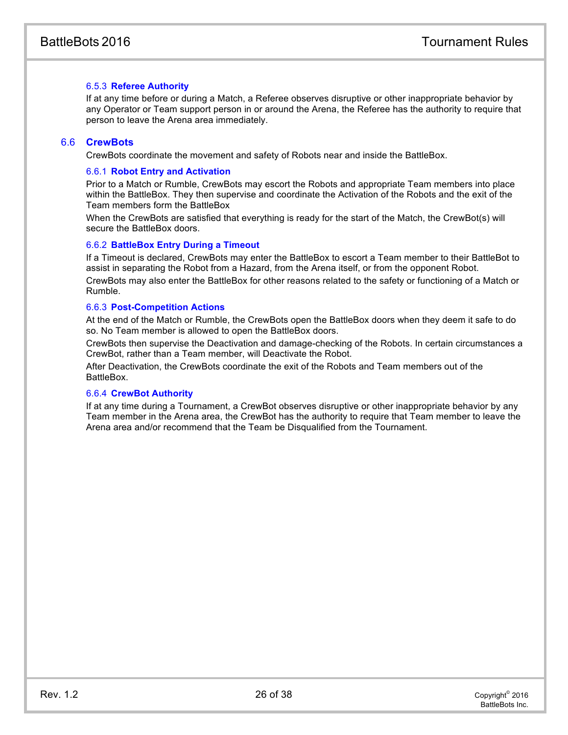# 6.5.3 **Referee Authority**

If at any time before or during a Match, a Referee observes disruptive or other inappropriate behavior by any Operator or Team support person in or around the Arena, the Referee has the authority to require that person to leave the Arena area immediately.

## 6.6 **CrewBots**

CrewBots coordinate the movement and safety of Robots near and inside the BattleBox.

## 6.6.1 **Robot Entry and Activation**

Prior to a Match or Rumble, CrewBots may escort the Robots and appropriate Team members into place within the BattleBox. They then supervise and coordinate the Activation of the Robots and the exit of the Team members form the BattleBox

When the CrewBots are satisfied that everything is ready for the start of the Match, the CrewBot(s) will secure the BattleBox doors.

#### 6.6.2 **BattleBox Entry During a Timeout**

If a Timeout is declared, CrewBots may enter the BattleBox to escort a Team member to their BattleBot to assist in separating the Robot from a Hazard, from the Arena itself, or from the opponent Robot. CrewBots may also enter the BattleBox for other reasons related to the safety or functioning of a Match or Rumble.

#### <span id="page-26-0"></span>6.6.3 **Post-Competition Actions**

At the end of the Match or Rumble, the CrewBots open the BattleBox doors when they deem it safe to do so. No Team member is allowed to open the BattleBox doors.

CrewBots then supervise the Deactivation and damage-checking of the Robots. In certain circumstances a CrewBot, rather than a Team member, will Deactivate the Robot.

After Deactivation, the CrewBots coordinate the exit of the Robots and Team members out of the BattleBox.

#### 6.6.4 **CrewBot Authority**

<span id="page-26-1"></span>If at any time during a Tournament, a CrewBot observes disruptive or other inappropriate behavior by any Team member in the Arena area, the CrewBot has the authority to require that Team member to leave the Arena area and/or recommend that the Team be Disqualified from the Tournament.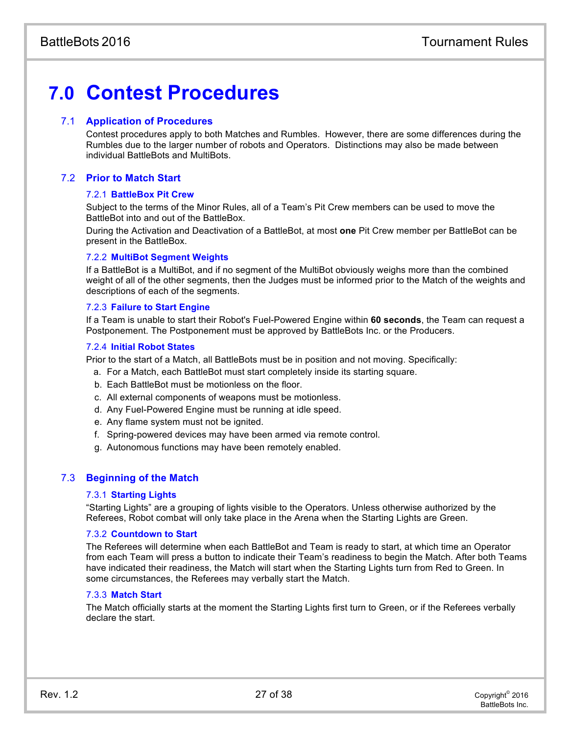# **7.0 Contest Procedures**

# 7.1 **Application of Procedures**

Contest procedures apply to both Matches and Rumbles. However, there are some differences during the Rumbles due to the larger number of robots and Operators. Distinctions may also be made between individual BattleBots and MultiBots.

# 7.2 **Prior to Match Start**

## 7.2.1 **BattleBox Pit Crew**

Subject to the terms of the Minor Rules, all of a Team's Pit Crew members can be used to move the BattleBot into and out of the BattleBox.

During the Activation and Deactivation of a BattleBot, at most **one** Pit Crew member per BattleBot can be present in the BattleBox.

## 7.2.2 **MultiBot Segment Weights**

If a BattleBot is a MultiBot, and if no segment of the MultiBot obviously weighs more than the combined weight of all of the other segments, then the Judges must be informed prior to the Match of the weights and descriptions of each of the segments.

## 7.2.3 **Failure to Start Engine**

If a Team is unable to start their Robot's Fuel-Powered Engine within **60 seconds**, the Team can request a Postponement. The Postponement must be approved by BattleBots Inc. or the Producers.

## 7.2.4 **Initial Robot States**

Prior to the start of a Match, all BattleBots must be in position and not moving. Specifically:

- a. For a Match, each BattleBot must start completely inside its starting square.
- b. Each BattleBot must be motionless on the floor.
- c. All external components of weapons must be motionless.
- d. Any Fuel-Powered Engine must be running at idle speed.
- e. Any flame system must not be ignited.
- f. Spring-powered devices may have been armed via remote control.
- g. Autonomous functions may have been remotely enabled.

# 7.3 **Beginning of the Match**

#### 7.3.1 **Starting Lights**

"Starting Lights" are a grouping of lights visible to the Operators. Unless otherwise authorized by the Referees, Robot combat will only take place in the Arena when the Starting Lights are Green.

#### 7.3.2 **Countdown to Start**

The Referees will determine when each BattleBot and Team is ready to start, at which time an Operator from each Team will press a button to indicate their Team's readiness to begin the Match. After both Teams have indicated their readiness, the Match will start when the Starting Lights turn from Red to Green. In some circumstances, the Referees may verbally start the Match.

#### 7.3.3 **Match Start**

The Match officially starts at the moment the Starting Lights first turn to Green, or if the Referees verbally declare the start.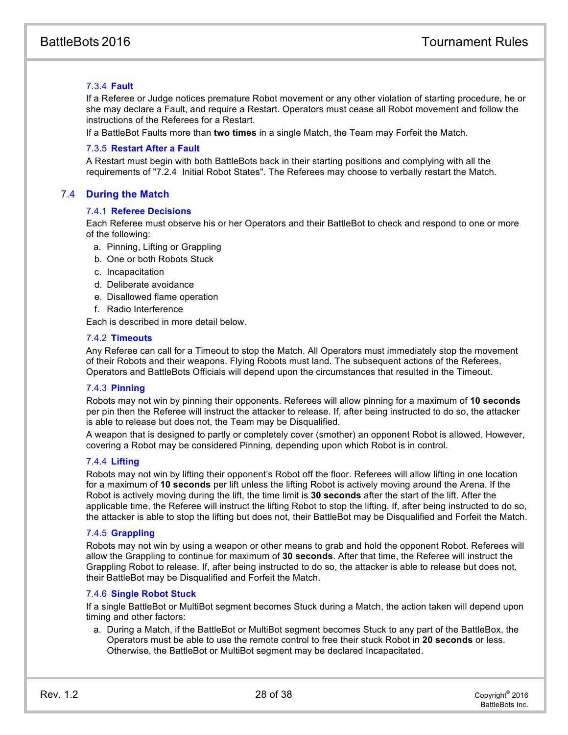# 7.3.4 **Fault**

If a Referee or Judge notices premature Robot movement or any other violation of starting procedure, he or she may declare a Fault, and require a Restart. Operators must cease all Robot movement and follow the instructions of the Referees for a Restart.

<span id="page-28-0"></span>If a BattleBot Faults more than **two times** in a single Match, the Team may Forfeit the Match.

#### 7.3.5 **Restart After a Fault**

<span id="page-28-1"></span>A Restart must begin with both BattleBots back in their starting positions and complying with all the requirements of "7.2.4 Initial Robot States". The Referees may choose to verbally restart the Match.

# 7.4 **During the Match**

## 7.4.1 **Referee Decisions**

Each Referee must observe his or her Operators and their BattleBot to check and respond to one or more of the following:

- a. Pinning, Lifting or Grappling
- b. One or both Robots Stuck
- c. Incapacitation
- d. Deliberate avoidance
- e. Disallowed flame operation
- f. Radio Interference

Each is described in more detail below.

## 7.4.2 **Timeouts**

Any Referee can call for a Timeout to stop the Match. All Operators must immediately stop the movement of their Robots and their weapons. Flying Robots must land. The subsequent actions of the Referees, Operators and BattleBots Officials will depend upon the circumstances that resulted in the Timeout.

# 7.4.3 **Pinning**

Robots may not win by pinning their opponents. Referees will allow pinning for a maximum of **10 seconds** per pin then the Referee will instruct the attacker to release. If, after being instructed to do so, the attacker is able to release but does not, the Team may be Disqualified.

A weapon that is designed to partly or completely cover (smother) an opponent Robot is allowed. However, covering a Robot may be considered Pinning, depending upon which Robot is in control.

#### 7.4.4 **Lifting**

Robots may not win by lifting their opponent's Robot off the floor. Referees will allow lifting in one location for a maximum of **10 seconds** per lift unless the lifting Robot is actively moving around the Arena. If the Robot is actively moving during the lift, the time limit is **30 seconds** after the start of the lift. After the applicable time, the Referee will instruct the lifting Robot to stop the lifting. If, after being instructed to do so, the attacker is able to stop the lifting but does not, their BattleBot may be Disqualified and Forfeit the Match.

#### 7.4.5 **Grappling**

Robots may not win by using a weapon or other means to grab and hold the opponent Robot. Referees will allow the Grappling to continue for maximum of **30 seconds**. After that time, the Referee will instruct the Grappling Robot to release. If, after being instructed to do so, the attacker is able to release but does not, their BattleBot may be Disqualified and Forfeit the Match.

#### 7.4.6 **Single Robot Stuck**

If a single BattleBot or MultiBot segment becomes Stuck during a Match, the action taken will depend upon timing and other factors:

a. During a Match, if the BattleBot or MultiBot segment becomes Stuck to any part of the BattleBox, the Operators must be able to use the remote control to free their stuck Robot in **20 seconds** or less. Otherwise, the BattleBot or MultiBot segment may be declared Incapacitated.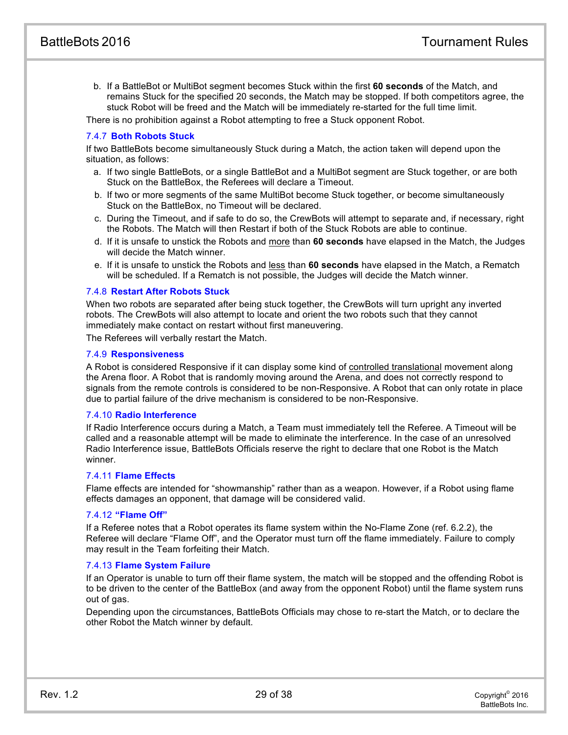b. If a BattleBot or MultiBot segment becomes Stuck within the first **60 seconds** of the Match, and remains Stuck for the specified 20 seconds, the Match may be stopped. If both competitors agree, the stuck Robot will be freed and the Match will be immediately re-started for the full time limit.

There is no prohibition against a Robot attempting to free a Stuck opponent Robot.

# 7.4.7 **Both Robots Stuck**

If two BattleBots become simultaneously Stuck during a Match, the action taken will depend upon the situation, as follows:

- a. If two single BattleBots, or a single BattleBot and a MultiBot segment are Stuck together, or are both Stuck on the BattleBox, the Referees will declare a Timeout.
- b. If two or more segments of the same MultiBot become Stuck together, or become simultaneously Stuck on the BattleBox, no Timeout will be declared.
- c. During the Timeout, and if safe to do so, the CrewBots will attempt to separate and, if necessary, right the Robots. The Match will then Restart if both of the Stuck Robots are able to continue.
- d. If it is unsafe to unstick the Robots and more than **60 seconds** have elapsed in the Match, the Judges will decide the Match winner.
- e. If it is unsafe to unstick the Robots and less than **60 seconds** have elapsed in the Match, a Rematch will be scheduled. If a Rematch is not possible, the Judges will decide the Match winner.

#### 7.4.8 **Restart After Robots Stuck**

When two robots are separated after being stuck together, the CrewBots will turn upright any inverted robots. The CrewBots will also attempt to locate and orient the two robots such that they cannot immediately make contact on restart without first maneuvering.

The Referees will verbally restart the Match.

#### 7.4.9 **Responsiveness**

A Robot is considered Responsive if it can display some kind of controlled translational movement along the Arena floor. A Robot that is randomly moving around the Arena, and does not correctly respond to signals from the remote controls is considered to be non-Responsive. A Robot that can only rotate in place due to partial failure of the drive mechanism is considered to be non-Responsive.

#### 7.4.10 **Radio Interference**

If Radio Interference occurs during a Match, a Team must immediately tell the Referee. A Timeout will be called and a reasonable attempt will be made to eliminate the interference. In the case of an unresolved Radio Interference issue, BattleBots Officials reserve the right to declare that one Robot is the Match winner.

#### 7.4.11 **Flame Effects**

Flame effects are intended for "showmanship" rather than as a weapon. However, if a Robot using flame effects damages an opponent, that damage will be considered valid.

# 7.4.12 **"Flame Off"**

If a Referee notes that a Robot operates its flame system within the No-Flame Zone (ref. 6.2.2), the Referee will declare "Flame Off", and the Operator must turn off the flame immediately. Failure to comply may result in the Team forfeiting their Match.

#### 7.4.13 **Flame System Failure**

If an Operator is unable to turn off their flame system, the match will be stopped and the offending Robot is to be driven to the center of the BattleBox (and away from the opponent Robot) until the flame system runs out of gas.

Depending upon the circumstances, BattleBots Officials may chose to re-start the Match, or to declare the other Robot the Match winner by default.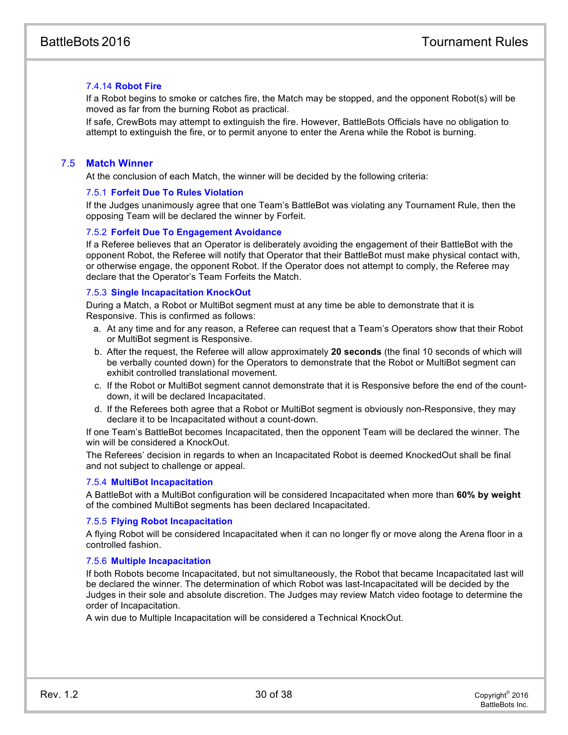# 7.4.14 **Robot Fire**

If a Robot begins to smoke or catches fire, the Match may be stopped, and the opponent Robot(s) will be moved as far from the burning Robot as practical.

If safe, CrewBots may attempt to extinguish the fire. However, BattleBots Officials have no obligation to attempt to extinguish the fire, or to permit anyone to enter the Arena while the Robot is burning.

# 7.5 **Match Winner**

At the conclusion of each Match, the winner will be decided by the following criteria:

#### 7.5.1 **Forfeit Due To Rules Violation**

If the Judges unanimously agree that one Team's BattleBot was violating any Tournament Rule, then the opposing Team will be declared the winner by Forfeit.

#### 7.5.2 **Forfeit Due To Engagement Avoidance**

If a Referee believes that an Operator is deliberately avoiding the engagement of their BattleBot with the opponent Robot, the Referee will notify that Operator that their BattleBot must make physical contact with, or otherwise engage, the opponent Robot. If the Operator does not attempt to comply, the Referee may declare that the Operator's Team Forfeits the Match.

#### 7.5.3 **Single Incapacitation KnockOut**

During a Match, a Robot or MultiBot segment must at any time be able to demonstrate that it is Responsive. This is confirmed as follows:

- a. At any time and for any reason, a Referee can request that a Team's Operators show that their Robot or MultiBot segment is Responsive.
- b. After the request, the Referee will allow approximately **20 seconds** (the final 10 seconds of which will be verbally counted down) for the Operators to demonstrate that the Robot or MultiBot segment can exhibit controlled translational movement.
- c. If the Robot or MultiBot segment cannot demonstrate that it is Responsive before the end of the countdown, it will be declared Incapacitated.
- d. If the Referees both agree that a Robot or MultiBot segment is obviously non-Responsive, they may declare it to be Incapacitated without a count-down.

If one Team's BattleBot becomes Incapacitated, then the opponent Team will be declared the winner. The win will be considered a KnockOut.

The Referees' decision in regards to when an Incapacitated Robot is deemed KnockedOut shall be final and not subject to challenge or appeal.

#### 7.5.4 **MultiBot Incapacitation**

A BattleBot with a MultiBot configuration will be considered Incapacitated when more than **60% by weight** of the combined MultiBot segments has been declared Incapacitated.

#### 7.5.5 **Flying Robot Incapacitation**

A flying Robot will be considered Incapacitated when it can no longer fly or move along the Arena floor in a controlled fashion.

#### 7.5.6 **Multiple Incapacitation**

If both Robots become Incapacitated, but not simultaneously, the Robot that became Incapacitated last will be declared the winner. The determination of which Robot was last-Incapacitated will be decided by the Judges in their sole and absolute discretion. The Judges may review Match video footage to determine the order of Incapacitation.

A win due to Multiple Incapacitation will be considered a Technical KnockOut.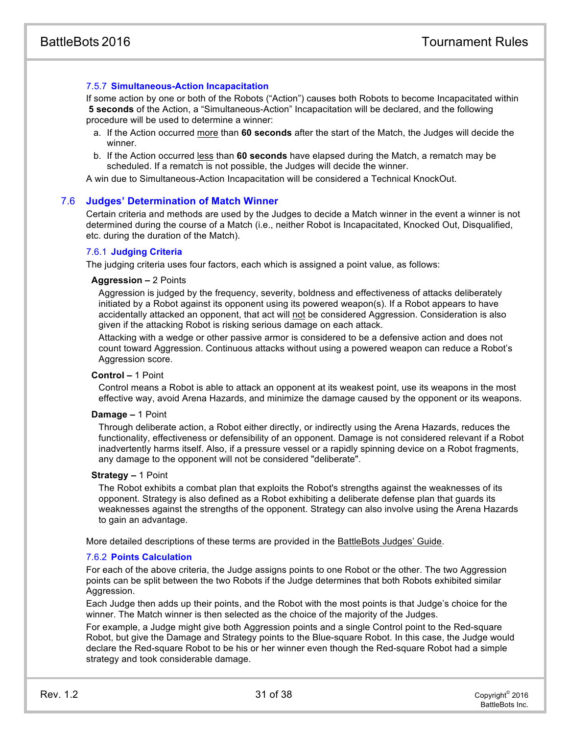## 7.5.7 **Simultaneous-Action Incapacitation**

If some action by one or both of the Robots ("Action") causes both Robots to become Incapacitated within **5 seconds** of the Action, a "Simultaneous-Action" Incapacitation will be declared, and the following procedure will be used to determine a winner:

- a. If the Action occurred more than **60 seconds** after the start of the Match, the Judges will decide the winner.
- b. If the Action occurred less than **60 seconds** have elapsed during the Match, a rematch may be scheduled. If a rematch is not possible, the Judges will decide the winner.

A win due to Simultaneous-Action Incapacitation will be considered a Technical KnockOut.

#### 7.6 **Judges' Determination of Match Winner**

Certain criteria and methods are used by the Judges to decide a Match winner in the event a winner is not determined during the course of a Match (i.e., neither Robot is Incapacitated, Knocked Out, Disqualified, etc. during the duration of the Match).

#### 7.6.1 **Judging Criteria**

The judging criteria uses four factors, each which is assigned a point value, as follows:

#### **Aggression –** 2 Points

Aggression is judged by the frequency, severity, boldness and effectiveness of attacks deliberately initiated by a Robot against its opponent using its powered weapon(s). If a Robot appears to have accidentally attacked an opponent, that act will not be considered Aggression. Consideration is also given if the attacking Robot is risking serious damage on each attack.

Attacking with a wedge or other passive armor is considered to be a defensive action and does not count toward Aggression. Continuous attacks without using a powered weapon can reduce a Robot's Aggression score.

#### **Control –** 1 Point

Control means a Robot is able to attack an opponent at its weakest point, use its weapons in the most effective way, avoid Arena Hazards, and minimize the damage caused by the opponent or its weapons.

#### **Damage –** 1 Point

Through deliberate action, a Robot either directly, or indirectly using the Arena Hazards, reduces the functionality, effectiveness or defensibility of an opponent. Damage is not considered relevant if a Robot inadvertently harms itself. Also, if a pressure vessel or a rapidly spinning device on a Robot fragments, any damage to the opponent will not be considered "deliberate".

#### **Strategy –** 1 Point

The Robot exhibits a combat plan that exploits the Robot's strengths against the weaknesses of its opponent. Strategy is also defined as a Robot exhibiting a deliberate defense plan that guards its weaknesses against the strengths of the opponent. Strategy can also involve using the Arena Hazards to gain an advantage.

More detailed descriptions of these terms are provided in the BattleBots Judges' Guide.

#### 7.6.2 **Points Calculation**

For each of the above criteria, the Judge assigns points to one Robot or the other. The two Aggression points can be split between the two Robots if the Judge determines that both Robots exhibited similar Aggression.

Each Judge then adds up their points, and the Robot with the most points is that Judge's choice for the winner. The Match winner is then selected as the choice of the majority of the Judges.

For example, a Judge might give both Aggression points and a single Control point to the Red-square Robot, but give the Damage and Strategy points to the Blue-square Robot. In this case, the Judge would declare the Red-square Robot to be his or her winner even though the Red-square Robot had a simple strategy and took considerable damage.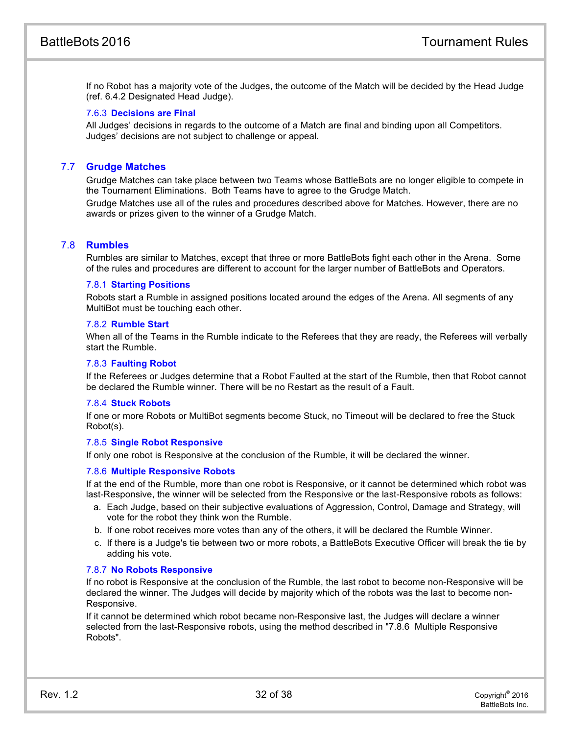If no Robot has a majority vote of the Judges, the outcome of the Match will be decided by the Head Judge (ref. 6.4.2 Designated Head Judge).

## 7.6.3 **Decisions are Final**

All Judges' decisions in regards to the outcome of a Match are final and binding upon all Competitors. Judges' decisions are not subject to challenge or appeal.

# 7.7 **Grudge Matches**

Grudge Matches can take place between two Teams whose BattleBots are no longer eligible to compete in the Tournament Eliminations. Both Teams have to agree to the Grudge Match.

<span id="page-32-0"></span>Grudge Matches use all of the rules and procedures described above for Matches. However, there are no awards or prizes given to the winner of a Grudge Match.

# 7.8 **Rumbles**

Rumbles are similar to Matches, except that three or more BattleBots fight each other in the Arena. Some of the rules and procedures are different to account for the larger number of BattleBots and Operators.

## 7.8.1 **Starting Positions**

Robots start a Rumble in assigned positions located around the edges of the Arena. All segments of any MultiBot must be touching each other.

## 7.8.2 **Rumble Start**

When all of the Teams in the Rumble indicate to the Referees that they are ready, the Referees will verbally start the Rumble.

#### 7.8.3 **Faulting Robot**

If the Referees or Judges determine that a Robot Faulted at the start of the Rumble, then that Robot cannot be declared the Rumble winner. There will be no Restart as the result of a Fault.

#### 7.8.4 **Stuck Robots**

If one or more Robots or MultiBot segments become Stuck, no Timeout will be declared to free the Stuck Robot(s).

#### 7.8.5 **Single Robot Responsive**

If only one robot is Responsive at the conclusion of the Rumble, it will be declared the winner.

#### 7.8.6 **Multiple Responsive Robots**

If at the end of the Rumble, more than one robot is Responsive, or it cannot be determined which robot was last-Responsive, the winner will be selected from the Responsive or the last-Responsive robots as follows:

- a. Each Judge, based on their subjective evaluations of Aggression, Control, Damage and Strategy, will vote for the robot they think won the Rumble.
- b. If one robot receives more votes than any of the others, it will be declared the Rumble Winner.
- c. If there is a Judge's tie between two or more robots, a BattleBots Executive Officer will break the tie by adding his vote.

#### 7.8.7 **No Robots Responsive**

If no robot is Responsive at the conclusion of the Rumble, the last robot to become non-Responsive will be declared the winner. The Judges will decide by majority which of the robots was the last to become non-Responsive.

If it cannot be determined which robot became non-Responsive last, the Judges will declare a winner selected from the last-Responsive robots, using the method described in "7.8.6 Multiple Responsive Robots".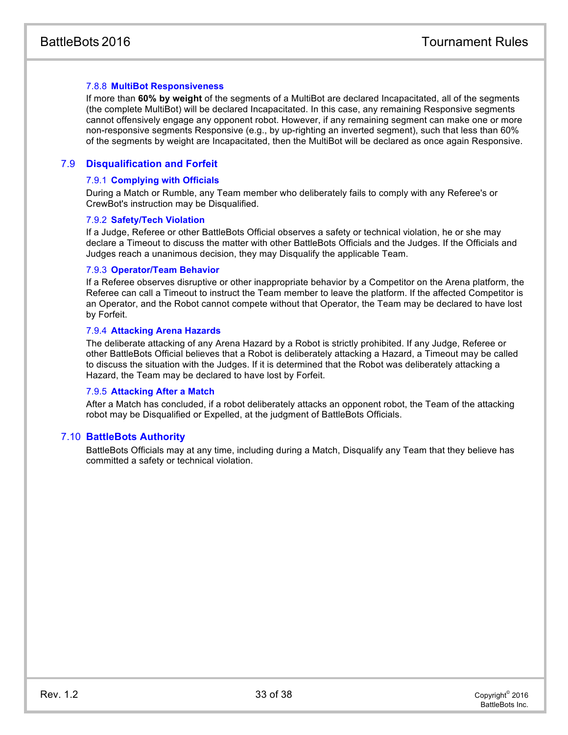## 7.8.8 **MultiBot Responsiveness**

If more than **60% by weight** of the segments of a MultiBot are declared Incapacitated, all of the segments (the complete MultiBot) will be declared Incapacitated. In this case, any remaining Responsive segments cannot offensively engage any opponent robot. However, if any remaining segment can make one or more non-responsive segments Responsive (e.g., by up-righting an inverted segment), such that less than 60% of the segments by weight are Incapacitated, then the MultiBot will be declared as once again Responsive.

# 7.9 **Disqualification and Forfeit**

#### <span id="page-33-0"></span>7.9.1 **Complying with Officials**

During a Match or Rumble, any Team member who deliberately fails to comply with any Referee's or CrewBot's instruction may be Disqualified.

#### 7.9.2 **Safety/Tech Violation**

<span id="page-33-1"></span>If a Judge, Referee or other BattleBots Official observes a safety or technical violation, he or she may declare a Timeout to discuss the matter with other BattleBots Officials and the Judges. If the Officials and Judges reach a unanimous decision, they may Disqualify the applicable Team.

#### 7.9.3 **Operator/Team Behavior**

If a Referee observes disruptive or other inappropriate behavior by a Competitor on the Arena platform, the Referee can call a Timeout to instruct the Team member to leave the platform. If the affected Competitor is an Operator, and the Robot cannot compete without that Operator, the Team may be declared to have lost by Forfeit.

#### 7.9.4 **Attacking Arena Hazards**

The deliberate attacking of any Arena Hazard by a Robot is strictly prohibited. If any Judge, Referee or other BattleBots Official believes that a Robot is deliberately attacking a Hazard, a Timeout may be called to discuss the situation with the Judges. If it is determined that the Robot was deliberately attacking a Hazard, the Team may be declared to have lost by Forfeit.

#### 7.9.5 **Attacking After a Match**

After a Match has concluded, if a robot deliberately attacks an opponent robot, the Team of the attacking robot may be Disqualified or Expelled, at the judgment of BattleBots Officials.

#### 7.10 **BattleBots Authority**

BattleBots Officials may at any time, including during a Match, Disqualify any Team that they believe has committed a safety or technical violation.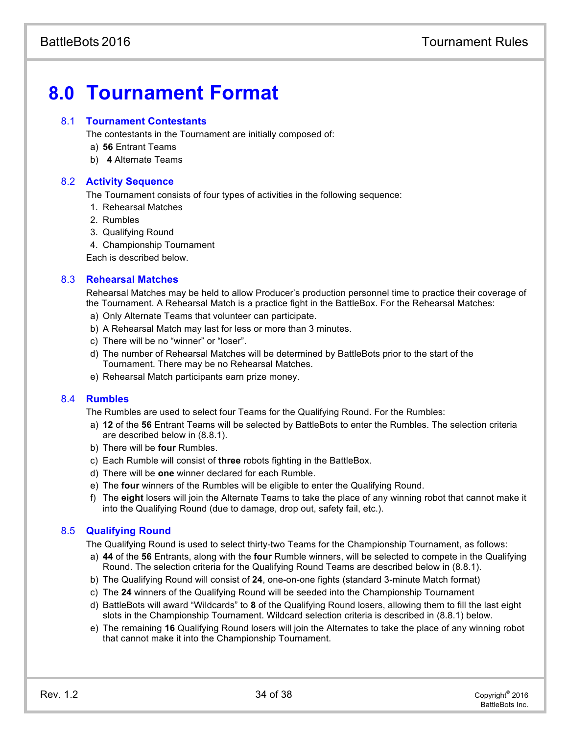# **8.0 Tournament Format**

# 8.1 **Tournament Contestants**

The contestants in the Tournament are initially composed of:

- a) **56** Entrant Teams
- <span id="page-34-0"></span>b) **4** Alternate Teams

# 8.2 **Activity Sequence**

The Tournament consists of four types of activities in the following sequence:

- 1. Rehearsal Matches
- 2. Rumbles
- 3. Qualifying Round
- 4. Championship Tournament

Each is described below.

# 8.3 **Rehearsal Matches**

Rehearsal Matches may be held to allow Producer's production personnel time to practice their coverage of the Tournament. A Rehearsal Match is a practice fight in the BattleBox. For the Rehearsal Matches:

- a) Only Alternate Teams that volunteer can participate.
- b) A Rehearsal Match may last for less or more than 3 minutes.
- c) There will be no "winner" or "loser".
- d) The number of Rehearsal Matches will be determined by BattleBots prior to the start of the Tournament. There may be no Rehearsal Matches.
- e) Rehearsal Match participants earn prize money.

# 8.4 **Rumbles**

The Rumbles are used to select four Teams for the Qualifying Round. For the Rumbles:

- <span id="page-34-1"></span>a) **12** of the **56** Entrant Teams will be selected by BattleBots to enter the Rumbles. The selection criteria are described below in (8.8.1).
- b) There will be **four** Rumbles.
- c) Each Rumble will consist of **three** robots fighting in the BattleBox.
- d) There will be **one** winner declared for each Rumble.
- e) The **four** winners of the Rumbles will be eligible to enter the Qualifying Round.
- f) The **eight** losers will join the Alternate Teams to take the place of any winning robot that cannot make it into the Qualifying Round (due to damage, drop out, safety fail, etc.).

# 8.5 **Qualifying Round**

The Qualifying Round is used to select thirty-two Teams for the Championship Tournament, as follows:

- a) **44** of the **56** Entrants, along with the **four** Rumble winners, will be selected to compete in the Qualifying Round. The selection criteria for the Qualifying Round Teams are described below in (8.8.1).
- b) The Qualifying Round will consist of **24**, one-on-one fights (standard 3-minute Match format)
- c) The **24** winners of the Qualifying Round will be seeded into the Championship Tournament
- d) BattleBots will award "Wildcards" to **8** of the Qualifying Round losers, allowing them to fill the last eight slots in the Championship Tournament. Wildcard selection criteria is described in (8.8.1) below.
- e) The remaining **16** Qualifying Round losers will join the Alternates to take the place of any winning robot that cannot make it into the Championship Tournament.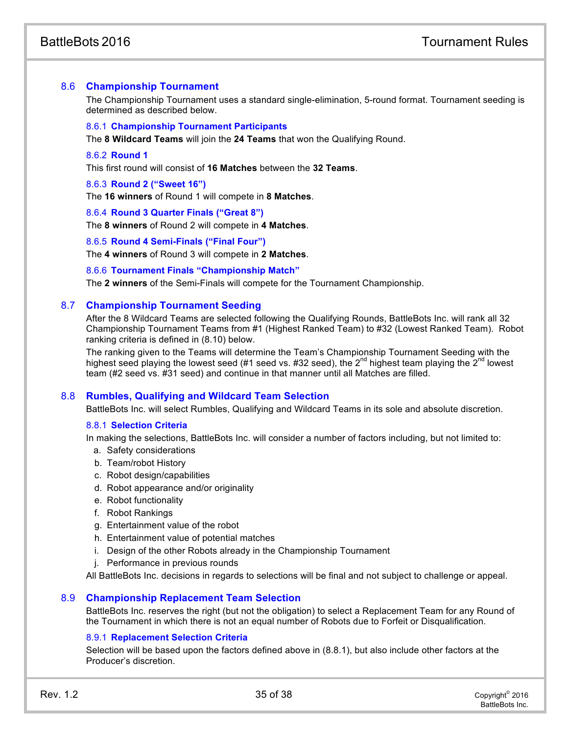# 8.6 **Championship Tournament**

The Championship Tournament uses a standard single-elimination, 5-round format. Tournament seeding is determined as described below.

#### <span id="page-35-0"></span>8.6.1 **Championship Tournament Participants**

The **8 Wildcard Teams** will join the **24 Teams** that won the Qualifying Round.

# 8.6.2 **Round 1**

This first round will consist of **16 Matches** between the **32 Teams**.

#### <span id="page-35-1"></span>8.6.3 **Round 2 ("Sweet 16")**

The **16 winners** of Round 1 will compete in **8 Matches**.

#### 8.6.4 **Round 3 Quarter Finals ("Great 8")**

The **8 winners** of Round 2 will compete in **4 Matches**.

#### 8.6.5 **Round 4 Semi-Finals ("Final Four")**

The **4 winners** of Round 3 will compete in **2 Matches**.

#### 8.6.6 **Tournament Finals "Championship Match"**

<span id="page-35-2"></span>The **2 winners** of the Semi-Finals will compete for the Tournament Championship.

## 8.7 **Championship Tournament Seeding**

After the 8 Wildcard Teams are selected following the Qualifying Rounds, BattleBots Inc. will rank all 32 Championship Tournament Teams from #1 (Highest Ranked Team) to #32 (Lowest Ranked Team). Robot ranking criteria is defined in (8.10) below.

The ranking given to the Teams will determine the Team's Championship Tournament Seeding with the highest seed playing the lowest seed (#1 seed vs.  $#32$  seed), the  $2<sup>nd</sup>$  highest team playing the  $2<sup>nd</sup>$  lowest team (#2 seed vs. #31 seed) and continue in that manner until all Matches are filled.

#### 8.8 **Rumbles, Qualifying and Wildcard Team Selection**

<span id="page-35-3"></span>BattleBots Inc. will select Rumbles, Qualifying and Wildcard Teams in its sole and absolute discretion.

#### 8.8.1 **Selection Criteria**

In making the selections, BattleBots Inc. will consider a number of factors including, but not limited to:

- a. Safety considerations
- b. Team/robot History
- c. Robot design/capabilities
- d. Robot appearance and/or originality
- e. Robot functionality
- f. Robot Rankings
- <span id="page-35-4"></span>g. Entertainment value of the robot
- h. Entertainment value of potential matches
- i. Design of the other Robots already in the Championship Tournament
- j. Performance in previous rounds

All BattleBots Inc. decisions in regards to selections will be final and not subject to challenge or appeal.

#### 8.9 **Championship Replacement Team Selection**

BattleBots Inc. reserves the right (but not the obligation) to select a Replacement Team for any Round of the Tournament in which there is not an equal number of Robots due to Forfeit or Disqualification.

# 8.9.1 **Replacement Selection Criteria**

Selection will be based upon the factors defined above in (8.8.1), but also include other factors at the Producer's discretion.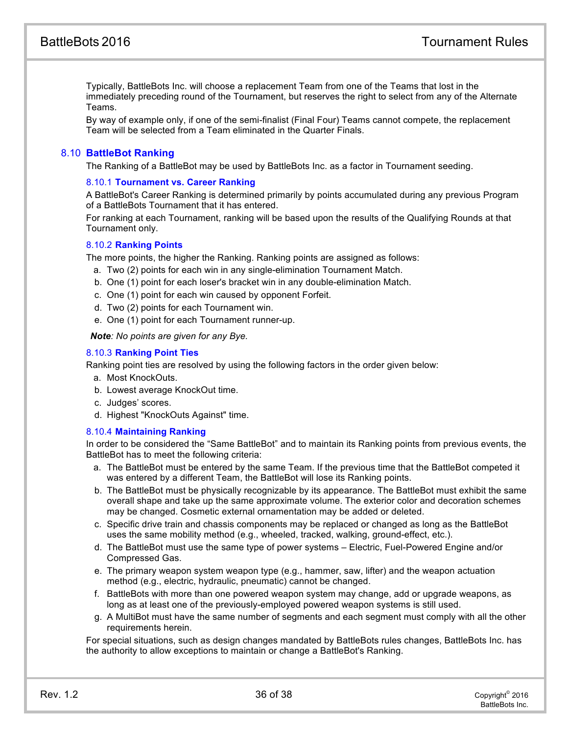<span id="page-36-0"></span>Typically, BattleBots Inc. will choose a replacement Team from one of the Teams that lost in the immediately preceding round of the Tournament, but reserves the right to select from any of the Alternate Teams.

By way of example only, if one of the semi-finalist (Final Four) Teams cannot compete, the replacement Team will be selected from a Team eliminated in the Quarter Finals.

# 8.10 **BattleBot Ranking**

The Ranking of a BattleBot may be used by BattleBots Inc. as a factor in Tournament seeding.

#### 8.10.1 **Tournament vs. Career Ranking**

A BattleBot's Career Ranking is determined primarily by points accumulated during any previous Program of a BattleBots Tournament that it has entered.

For ranking at each Tournament, ranking will be based upon the results of the Qualifying Rounds at that Tournament only.

#### 8.10.2 **Ranking Points**

The more points, the higher the Ranking. Ranking points are assigned as follows:

- a. Two (2) points for each win in any single-elimination Tournament Match.
- b. One (1) point for each loser's bracket win in any double-elimination Match.
- c. One (1) point for each win caused by opponent Forfeit.
- d. Two (2) points for each Tournament win.
- e. One (1) point for each Tournament runner-up.

*Note: No points are given for any Bye.*

#### 8.10.3 **Ranking Point Ties**

Ranking point ties are resolved by using the following factors in the order given below:

- a. Most KnockOuts.
- <span id="page-36-1"></span>b. Lowest average KnockOut time.
- c. Judges' scores.
- d. Highest "KnockOuts Against" time.

#### 8.10.4 **Maintaining Ranking**

In order to be considered the "Same BattleBot" and to maintain its Ranking points from previous events, the BattleBot has to meet the following criteria:

- a. The BattleBot must be entered by the same Team. If the previous time that the BattleBot competed it was entered by a different Team, the BattleBot will lose its Ranking points.
- b. The BattleBot must be physically recognizable by its appearance. The BattleBot must exhibit the same overall shape and take up the same approximate volume. The exterior color and decoration schemes may be changed. Cosmetic external ornamentation may be added or deleted.
- c. Specific drive train and chassis components may be replaced or changed as long as the BattleBot uses the same mobility method (e.g., wheeled, tracked, walking, ground-effect, etc.).
- d. The BattleBot must use the same type of power systems Electric, Fuel-Powered Engine and/or Compressed Gas.
- e. The primary weapon system weapon type (e.g., hammer, saw, lifter) and the weapon actuation method (e.g., electric, hydraulic, pneumatic) cannot be changed.
- <span id="page-36-2"></span>f. BattleBots with more than one powered weapon system may change, add or upgrade weapons, as long as at least one of the previously-employed powered weapon systems is still used.
- g. A MultiBot must have the same number of segments and each segment must comply with all the other requirements herein.

For special situations, such as design changes mandated by BattleBots rules changes, BattleBots Inc. has the authority to allow exceptions to maintain or change a BattleBot's Ranking.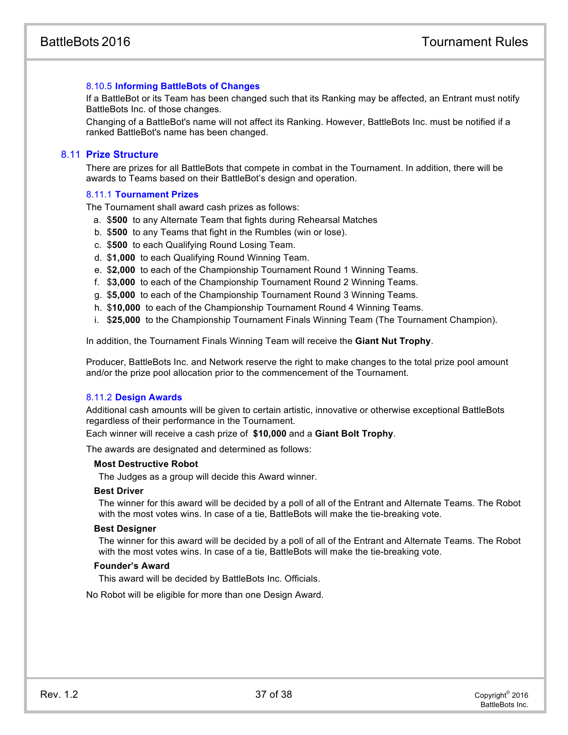## 8.10.5 **Informing BattleBots of Changes**

If a BattleBot or its Team has been changed such that its Ranking may be affected, an Entrant must notify BattleBots Inc. of those changes.

Changing of a BattleBot's name will not affect its Ranking. However, BattleBots Inc. must be notified if a ranked BattleBot's name has been changed.

## 8.11 **Prize Structure**

<span id="page-37-0"></span>There are prizes for all BattleBots that compete in combat in the Tournament. In addition, there will be awards to Teams based on their BattleBot's design and operation.

#### 8.11.1 **Tournament Prizes**

The Tournament shall award cash prizes as follows:

- a. \$**500** to any Alternate Team that fights during Rehearsal Matches
- b. \$**500** to any Teams that fight in the Rumbles (win or lose).
- c. \$**500** to each Qualifying Round Losing Team.
- d. \$**1,000** to each Qualifying Round Winning Team.
- e. \$**2,000** to each of the Championship Tournament Round 1 Winning Teams.
- f. \$**3,000** to each of the Championship Tournament Round 2 Winning Teams.
- g. \$**5,000** to each of the Championship Tournament Round 3 Winning Teams.
- h. \$**10,000** to each of the Championship Tournament Round 4 Winning Teams.
- i. \$**25,000** to the Championship Tournament Finals Winning Team (The Tournament Champion).

In addition, the Tournament Finals Winning Team will receive the **Giant Nut Trophy**.

Producer, BattleBots Inc. and Network reserve the right to make changes to the total prize pool amount and/or the prize pool allocation prior to the commencement of the Tournament.

#### 8.11.2 **Design Awards**

Additional cash amounts will be given to certain artistic, innovative or otherwise exceptional BattleBots regardless of their performance in the Tournament.

Each winner will receive a cash prize of **\$10,000** and a **Giant Bolt Trophy**.

The awards are designated and determined as follows:

#### **Most Destructive Robot**

The Judges as a group will decide this Award winner.

#### **Best Driver**

The winner for this award will be decided by a poll of all of the Entrant and Alternate Teams. The Robot with the most votes wins. In case of a tie, BattleBots will make the tie-breaking vote.

#### **Best Designer**

The winner for this award will be decided by a poll of all of the Entrant and Alternate Teams. The Robot with the most votes wins. In case of a tie, BattleBots will make the tie-breaking vote.

#### **Founder's Award**

This award will be decided by BattleBots Inc. Officials.

No Robot will be eligible for more than one Design Award.